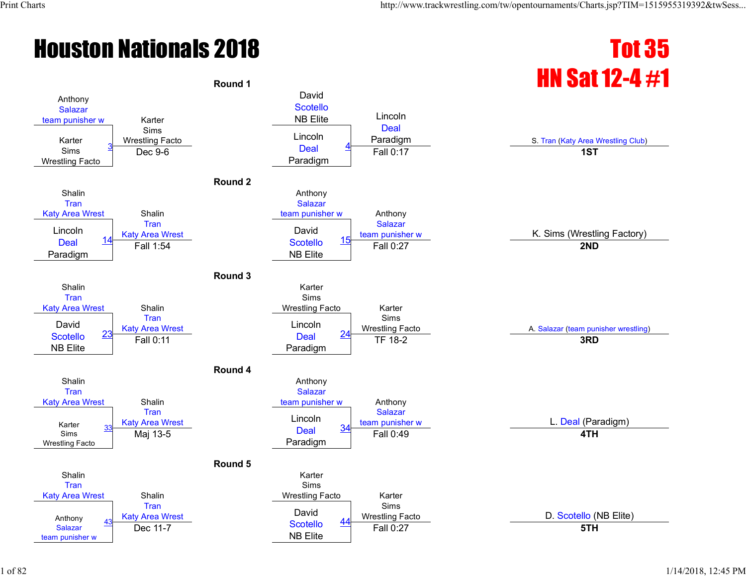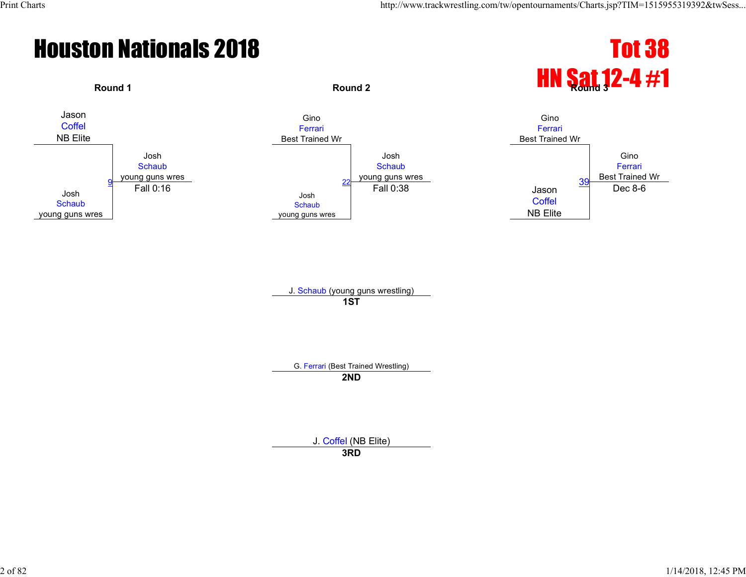# **Round 1 Round 2 Round 2 Round 2 HN Sat 12-4 #1**



J. Schaub (young guns wrestling) **1ST**

G. Ferrari (Best Trained Wrestling)

**2ND**

J. Coffel (NB Elite)

**3RD**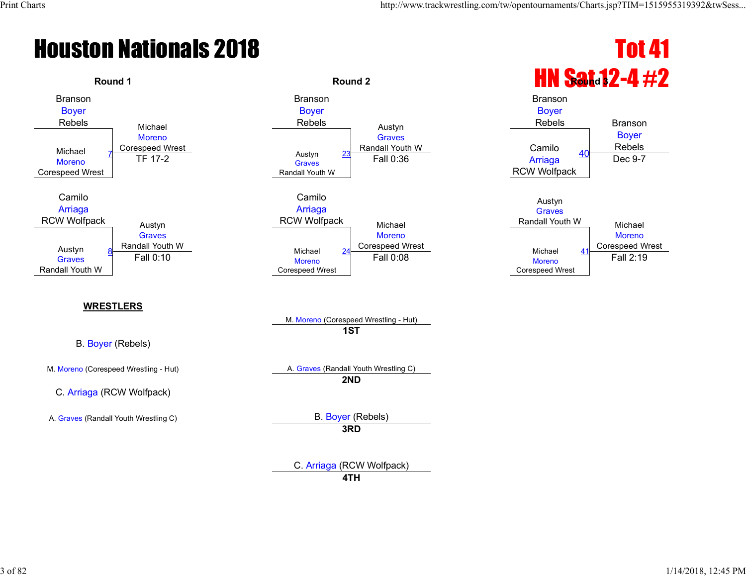Branson Boyer

### **Houston Nationals 2018** Tot 41



Boyer



Rebels **Branson** 

C. Arriaga (RCW Wolfpack)

**4TH**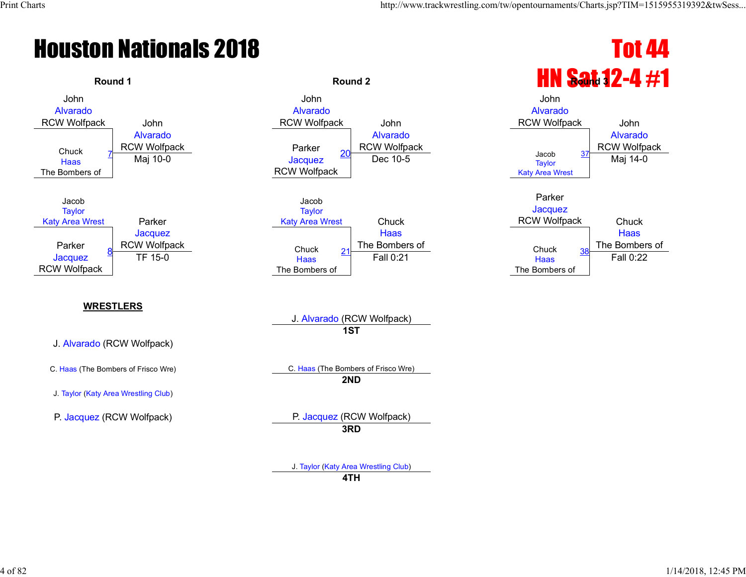

#### **WRESTLERS**

J. Alvarado (RCW Wolfpack)

J. Taylor (Katy Area Wrestling Club)





Haas The Bombers of

J. Alvarado (RCW Wolfpack) **1ST**

C. Haas (The Bombers of Frisco Wre) C. Haas (The Bombers of Frisco Wre) **2ND**

P. Jacquez (RCW Wolfpack) P. Jacquez (RCW Wolfpack) **3RD**

> J. Taylor (Katy Area Wrestling Club) **4TH**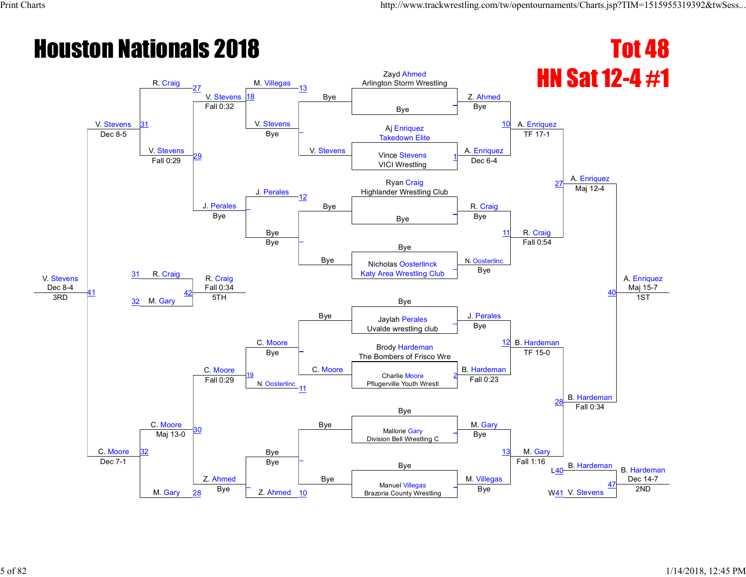#### **Houston Nationals 2018** Tot 48 HN Sat 12-4 #1 V. Stevens Dec 8-4 V. Stevens 31 R. Craig 27 V. Stevens 18 M. Villegas 13 Bye Zayd Ahmed Arlington Storm Wrestling Z. Ahmed A. Enriquez A. Enriquez A. Enriquez Maj 15-7 Bye \_ Fall 0:32 V. Stevens \_ V. Stevens Bye <sup>10</sup> Aj Enriquez Dec 8-5 **Dec 8-5** V. Stevens 29 Bye A. Enriquez TF 17-1 Vince Stevens VICI Wrestling 1 Fall 0:29 J. Perales Dec 6-4 Ryan Craig 27 November 27 November 27 November 27 November 27 November 27 November 27 November 27 November 27 November 27 November 27 November 27 November 27 November 27 November 27 November 27 November 27 November 27 Nove Highlander Wrestling Club J. Perales 12 Bye R. Craig Maj 12-4  $\overline{a}$ Bye \_ Bye Bye \_ Bye Bye 11 R. Craig R. Craig Bye <mark>–</mark> Bye N. Oosterlinc Fall 0:54 40 31 Nicholas Oosterlinck Katy Area Wrestling Club \_ R. Craig Fall 0:34 Bye Bye 41  $\frac{32}{32}$  M. Gary  $\frac{32}{2}$  M. Gary  $\frac{32}{2}$  M. Gary  $\frac{32}{2}$  STH 42 C. Moore J. Perales 12 B. Hardeman 1ST C. Moore C. Moore Jaylah Perales Uvalde wrestling club \_ C. Moore \_ C. Moore Bye **Brody Hardeman** Bye **The Bombers of Frisco Wre The Bombers of Frisco Wre** B. Hardeman TF 15-0 B. Hardeman 19 N. Oosterlinc<br>11 Charlie Moore Pflugerville Youth Wrest 2 Fall 0:29 Fall 0:23 28 Bye Bye 30 Bye Bye Mallorie Gary Mallorie Gary Museum Design Museum of the Museum Museum Museum Museum Museum Museum M<br>The Museum Museum Museum Museum Museum Museum Museum Museum Museum Museum Museum Museum Museum Museum Museum M Fall 0:34 Mallorie Gary Division Bell Wrestling C \_ 32 Maj 13-0 \_ Bye Bye 13 M. Gary  $\begin{array}{c|c|c|c|c|c|c} \text{Bye} & \text{B} & \text{Fall 1.10} & \text{B. Hardeman} & \text{B. Hardeman} \end{array}$ Dec 14-7 Dec 7-1 M. Gary Z. Ahmed Bye M. Villegas Fall 1:16  $\overline{140}$  $\overline{a}$ Z. Ahmed Manuel Villegas Brazoria County Wrestling <sup>28</sup> Bye <sup>10</sup> Bye W41 2ND \_ W41 V. Stevens 47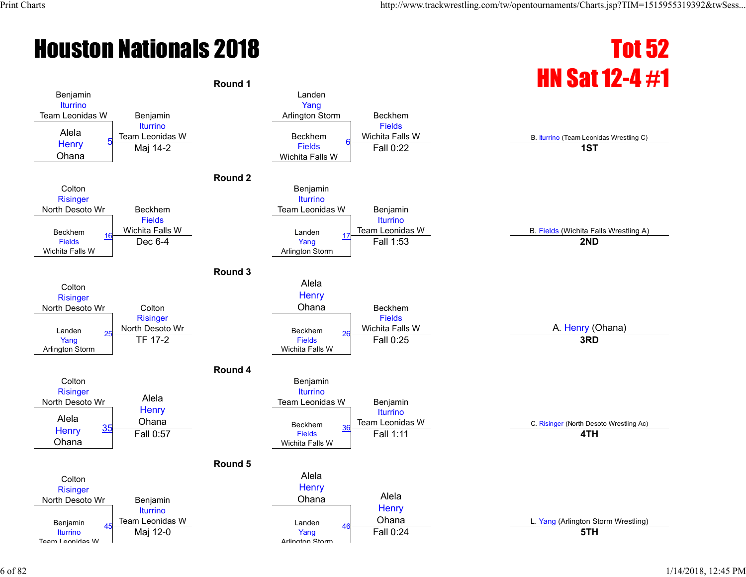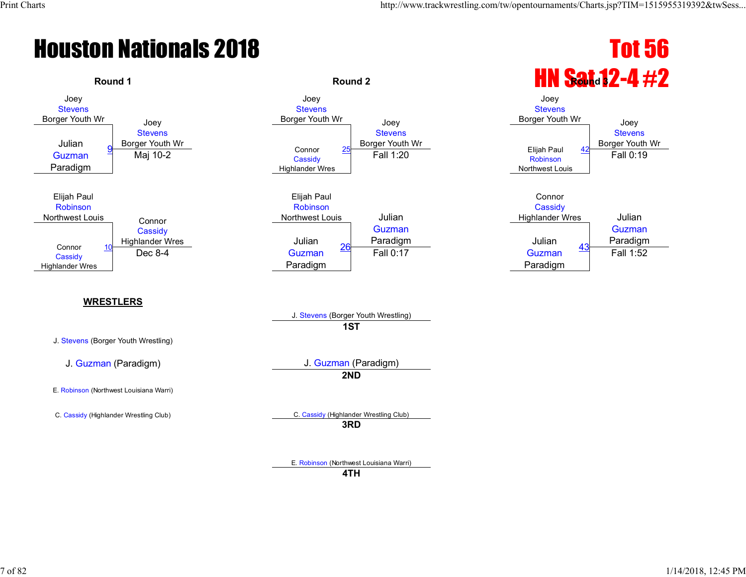

E. Robinson (Northwest Louisiana Warri)

**4TH**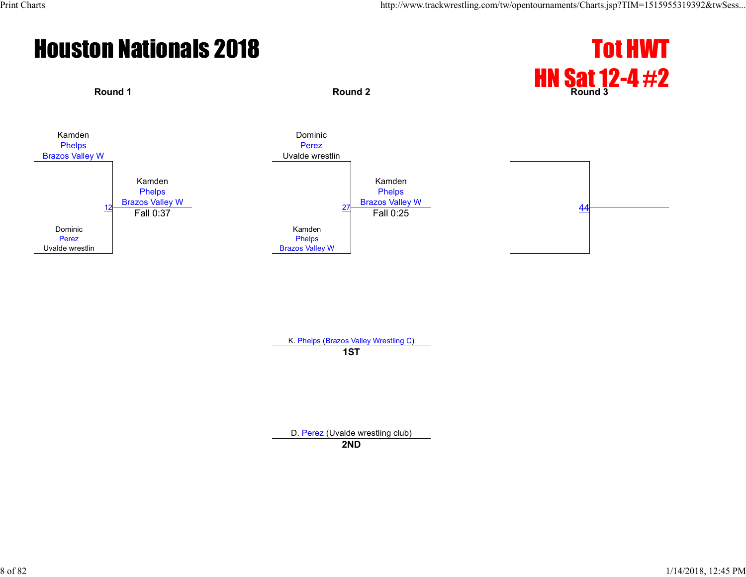#### **Houston Nationals 2018** Tot HWT



K. Phelps (Brazos Valley Wrestling C) **1ST**

D. Perez (Uvalde wrestling club)

**2ND**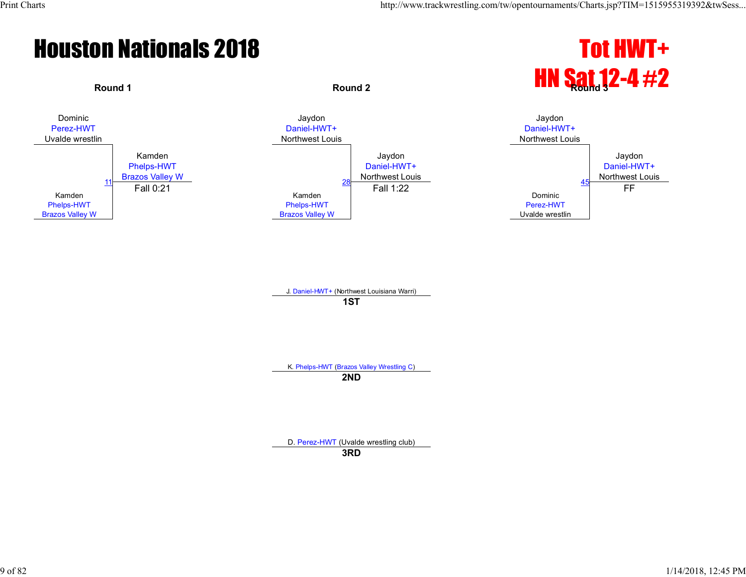#### **Houston Nationals 2018** Tot HWT+





J. Daniel-HWT+ (Northwest Louisiana Warri) **1ST**

K. Phelps-HWT (Brazos Valley Wrestling C)

**2ND**

D. Perez-HWT (Uvalde wrestling club)

**3RD**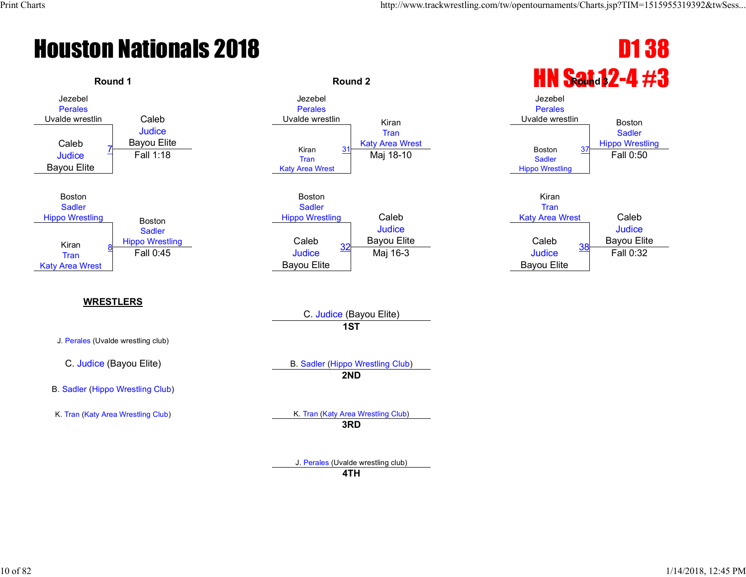

**4TH**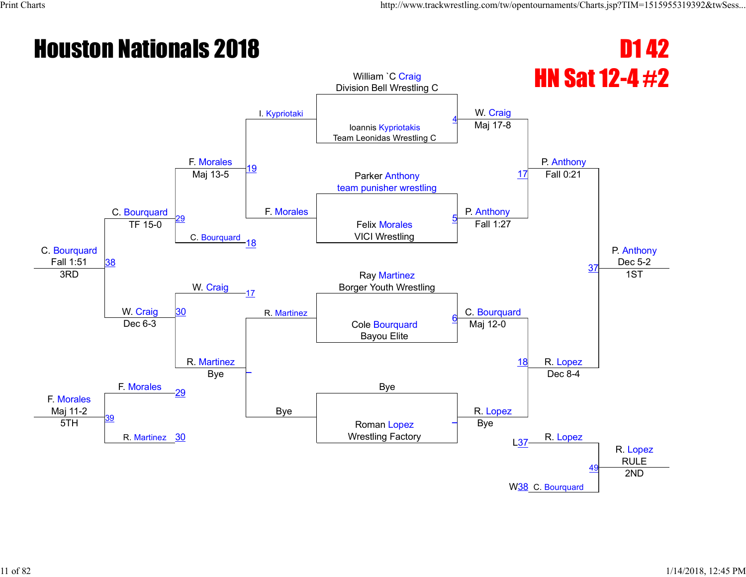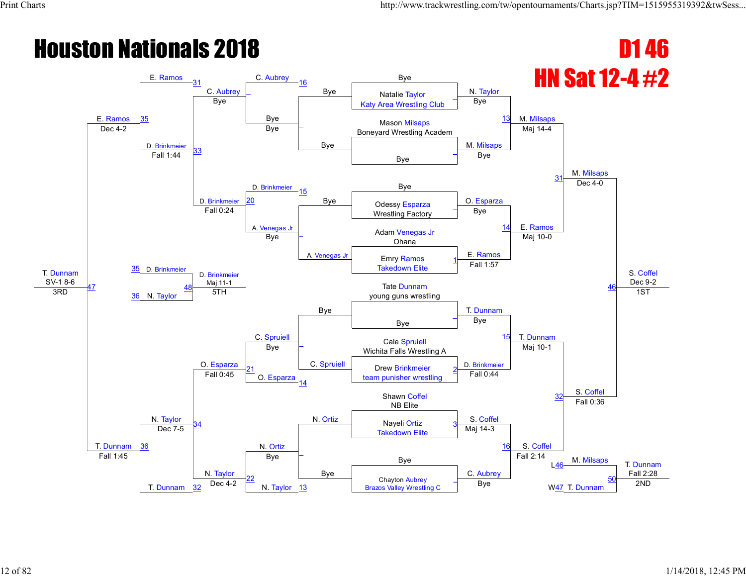#### **Houston Nationals 2018 D1 46** HN Sat 12-4 #2 T. Dunnam  $rac{\text{SV-1 8-6}}{\text{3RD}}$ E. Ramos E. Ramos 31 C. Aubrey C. Aubrey 16 Bye Bye N. Taylor M. Milsaps M. Milsaps S. Coffel Dec 9-2 35 Natalie Taylor Katy Area Wrestling Club \_ Bye Bye \_ Bye Bye <sup>13</sup> Mason Milsaps Dec 4-2 **Dec 4-2 Dec 4-2 Dec 4-2 Bye Dec 4-2 Boneyard Wrestling Academ** D. Brinkmeier 33 Bye M. Milsaps Maj 14-4 Bye \_ Fall 1:44 D. Brinkmeier Bye  $3<sup>7</sup>$ Bye D. Brinkmeier 15 Bye | Odessy Esparza | O. Esparza Dec 4-0 20 Bye Bye Odessy Esparza Wrestling Factory \_ Fall 0:24 A. Venegas Jr \_ A. Venegas Jr Bye 14 E. Ramos 35 D. Brinkmeier Adam Venegas Jr Bye **F** Adam verley E. Ramos Maj 10-0 46 Emry Ramos Takedown Elite 1 D. Brinkmeier Maj 11-1<br>5TH Bye Fall 1:57 47 36 N. Taylor **Tate Dunnam** young guns wrestling C. Spruiell T. Dunnam T. Dunnam 1ST T. Dunnam N. Taylor Bye \_ O. Esparza \_ C. Spruiell Bye <sup>15</sup> Cale Spruiell Bye **Cale Spitten**<br>Wichita Falls Wrestling A D. Brinkmeier Maj 10-1 S. Coffel 21 O. Esparza Drew Brinkmeier team punisher wrestling 2 Fall 0:45 14 Fall 0:44 32 N. Ortiz Shawn Coffel NB Elite <sup>34</sup> N. Ortiz S. Coffel Fall 0:36 Nayeli Ortiz Takedown Elite 3 36 Dec 7-5 \_ Bye Maj 14-3 16 S. Coffel  $\begin{array}{c|c|c|c|c} \text{Bye} & \text{Equation (a) } & \text{Equation (b) } & \text{Equation (c) } & \text{Equation (d) } & \text{Equation (e) } & \text{Equation (e) } & \text{Equation (f) } & \text{Equation (g) } & \text{Equation (h) } & \text{Equation (i) } & \text{Equation (i) } & \text{Equation (i) } & \text{Equation (i) } & \text{Equation (i) } & \text{Equation (i) } & \text{Equation (i) } & \text{Equation (i) } & \text{Equation (i) } & \text{Equation (i) } & \text{Equation (i)$ Fall 2:28 Fall 1:45 T. Dunnam N. Taylor Bye C. Aubrey Fall 2:14  $146$ 22 N. Taylor 13 Chayton Aubrey  $\frac{32}{2}$  Dec 4-2 **N**. Taylor  $\frac{13}{2}$  **Brazos Valley Wrestling C** Bye W47 T. Dunnam 2ND \_ W<sub>47</sub> T. Dunnam 50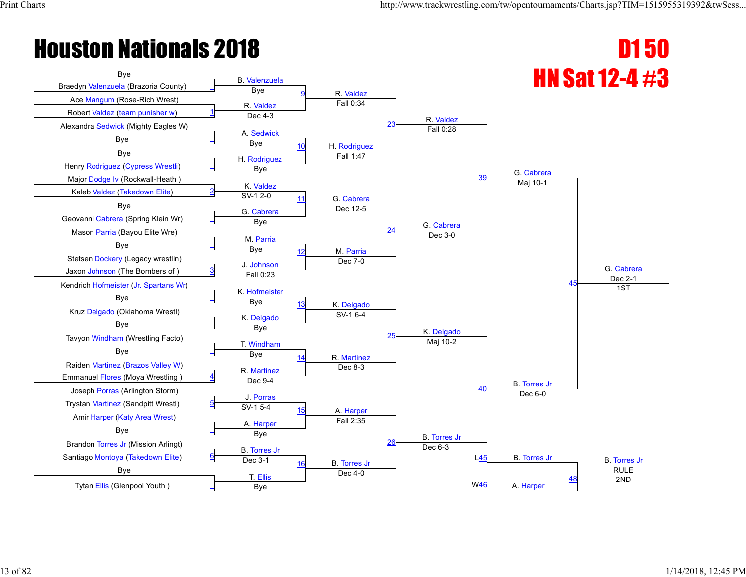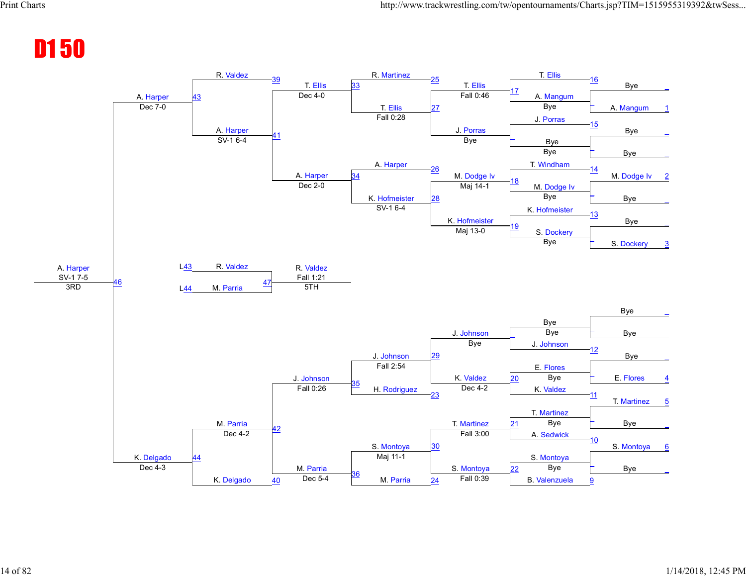#### D1 50

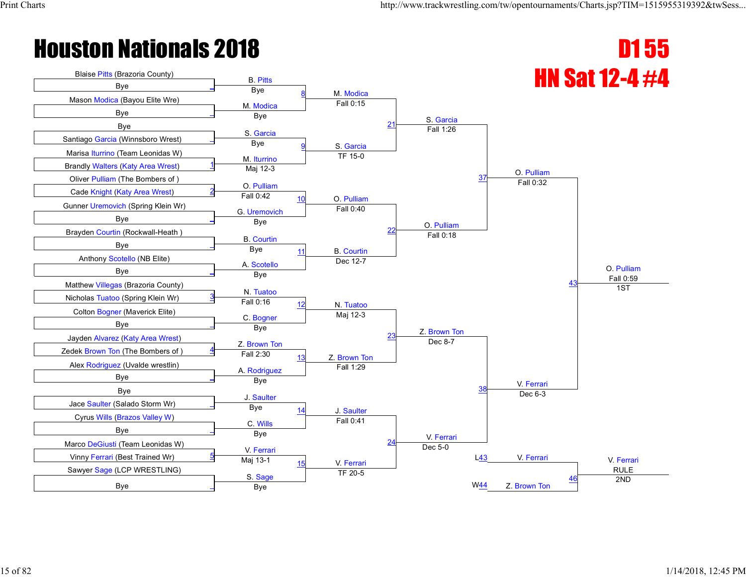

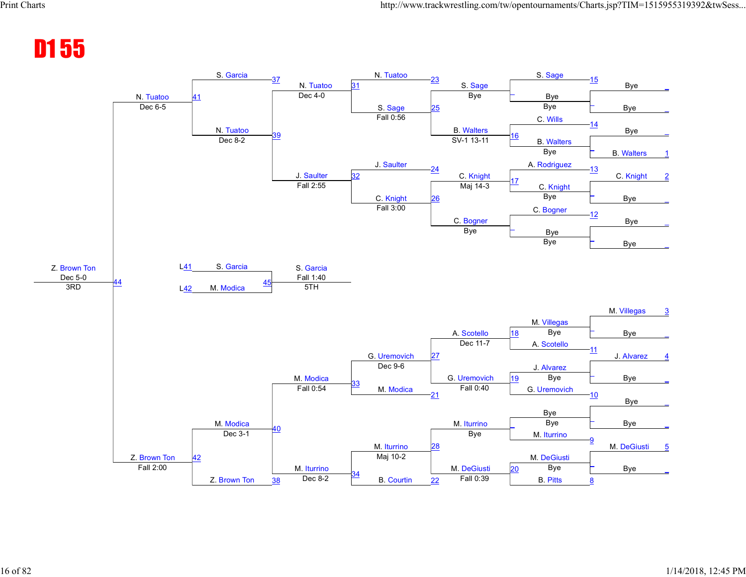#### D1 55

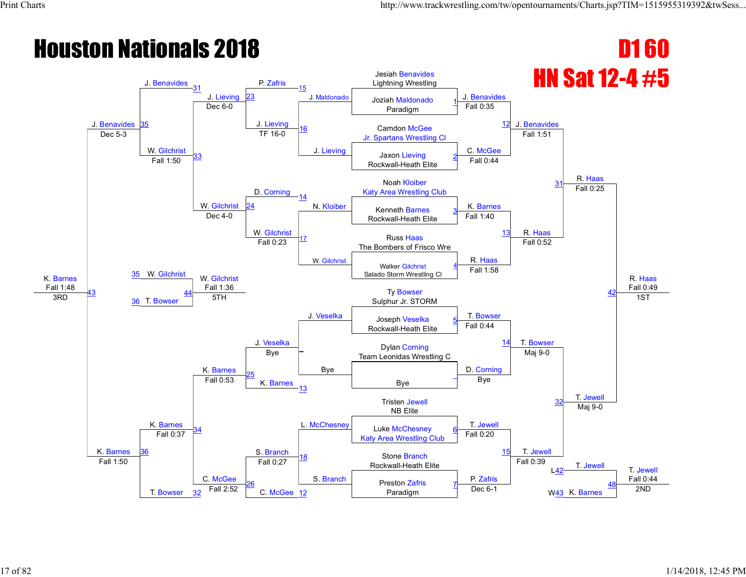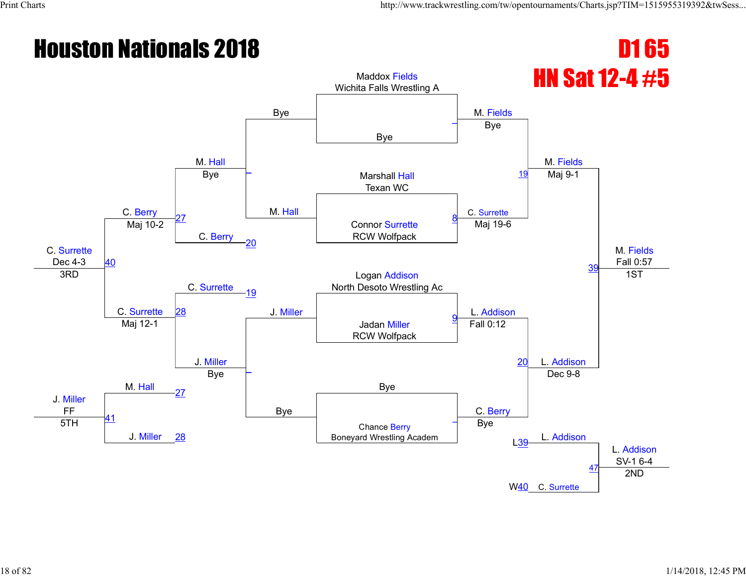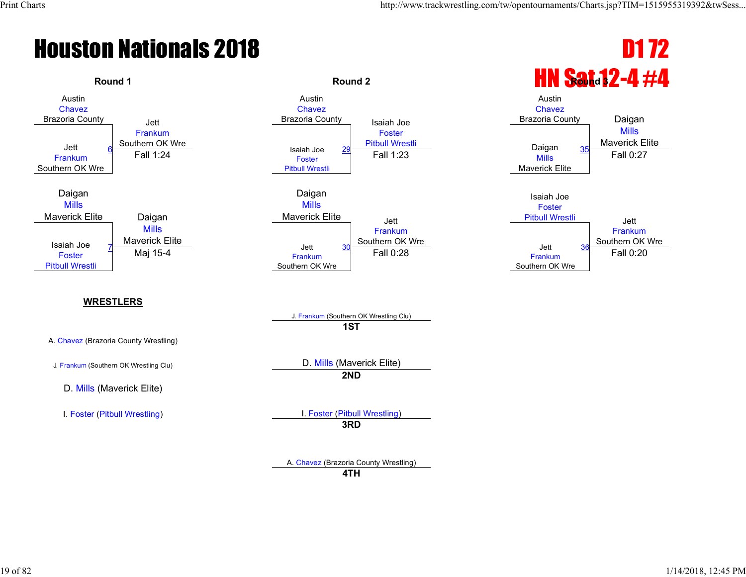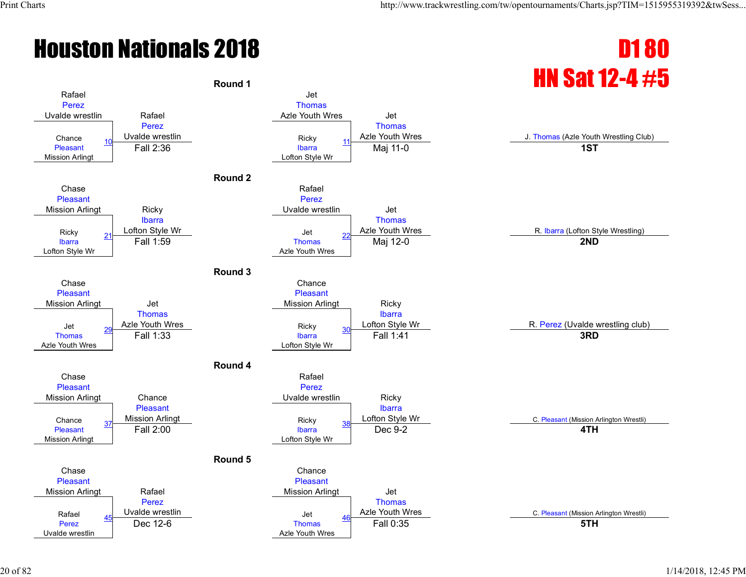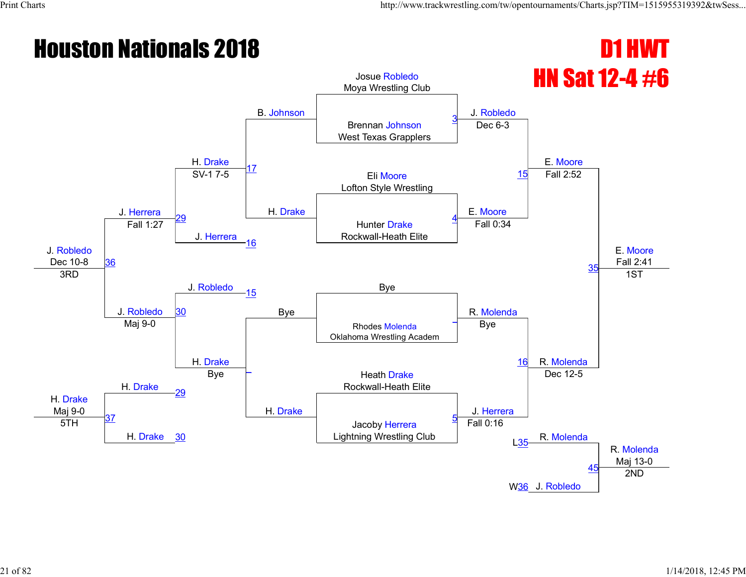#### **Houston Nationals 2018 D1 HWT** HN Sat 12-4 #6 J. Robledo Dec 10-8 J. Herrera H. Drake B. Johnson Josue Robledo Moya Wrestling Club J. Robledo E. Moore E. Moore Fall 2:41 Brennan Johnson West Texas Grapplers 3 17 H. Drake Dec 6-3 Eli Moore Lofton Style Wrestling SV-1 7-5 E. Moore 15 Fall 2:52 29 J. Herrera Hunter Drake Rockwall-Heath Elite 4 36 Fall 1:27 16 Fall 0:34  $35$  $J. \text{ Robledo}$   $J. \text{ subledo}$ 3RD J. Robledo 15 Bye R. Molenda 1ST 30 Rhodes Molenda Oklahoma Wrestling Academ  $\overline{a}$ H. Drake Maj 9-0 Maj 9-0 H. Drake \_ H. Drake Bye 16 R. Molenda H. Drake Heath Drake Rockwall-Heath Elite <sup>29</sup> Bye J. Herrera Dec 12-5 37 H. Drake <u>30</u> Jacoby Herrera Lightning Wrestling Club 5 R. Molenda R. Molenda Maj 13-0 5TH Fall 0:16 L35 W<mark>36</mark> J. Robledo  $45$ 2ND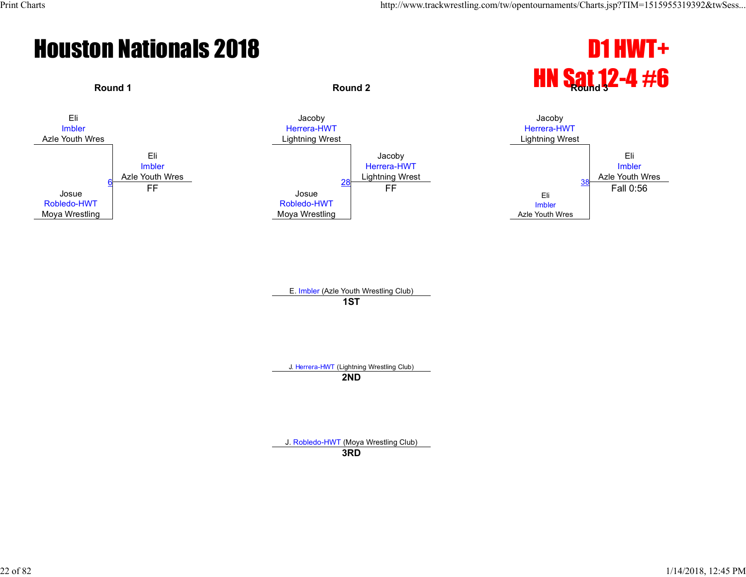



E. Imbler (Azle Youth Wrestling Club) **1ST**

J. Herrera-HWT (Lightning Wrestling Club)

**2ND**

J. Robledo-HWT (Moya Wrestling Club)

**3RD**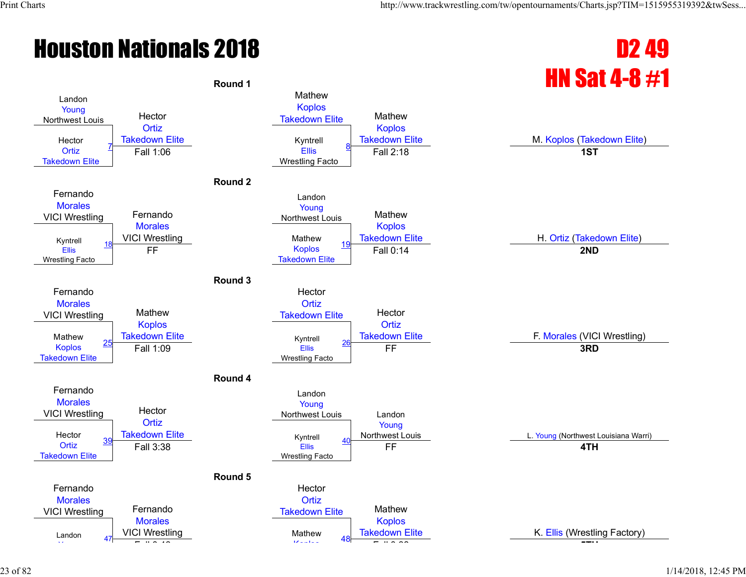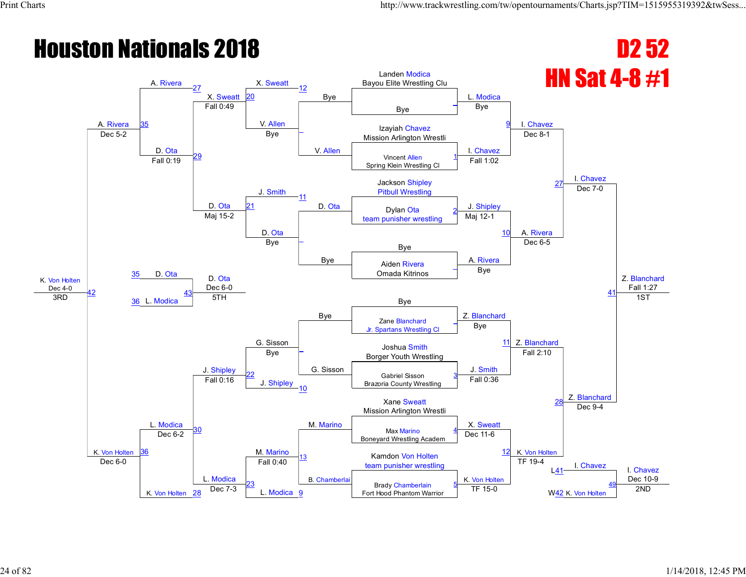#### **Houston Nationals 2018 D2 52** HN Sat 4-8 #1 K. Von Holten  $\frac{\text{Dec }4-0}{\text{3RD}}$ A. Rivera A. Rivera 27 X. Sweatt 20  $X.$  Sweatt  $12$ Bye Landen Modica Bayou Elite Wrestling Clu L. Modica I. Chavez I. Chavez Z. Blanchard Fall 1:27 35 Bye \_ Fall 0:49 V. Allen \_ V. Allen Bye <u>9</u> Izayiah Chavez Dec 5-2 **Dec 5-2 Dec 5-2 Dec 5-2 Dec 5-2 Dec 5-2 Dec 5-2 Mission Arlington Wrestli** D. Ota 29 Bye I. Chavez Dec 8-1 Vincent Allen Spring Klein Wrestling Cl 1 Fall 0:19 J. Smith Fall 1:02 **Jackson Shipley** Pitbull Wrestling D. Ota 11 D. Ota J. Shipley Dec 7-0 Dylan Ota team punisher wrestling 2 Maj 15-2 D. Ota<br>Bye \_ Bye Maj 12-1 10 A. Rivera D. Ota Bye <mark>–</mark> Bye A. Rivera Dec 6-5 41 35 Aiden Rivera Omada Kitrinos \_ D. Ota Dec 6-0 Bye Bye 42  $\overline{36}$  L. Modica  $\overline{36}$  L. Modica  $\overline{5}$   $\overline{5}$   $\overline{5}$   $\overline{5}$   $\overline{5}$   $\overline{5}$   $\overline{5}$   $\overline{5}$   $\overline{5}$   $\overline{5}$   $\overline{5}$   $\overline{5}$   $\overline{5}$   $\overline{5}$   $\overline{5}$   $\overline{5}$   $\overline{5}$   $\overline{5}$   $\overline{5}$   $\overline{5}$  43 G. Sisson Z. Blanchard Z. Blanchard 1ST K. Von Holten L. Modica Zane Blanchard Jr. Spartans Wrestling Cl \_ J. Shipley \_ G. Sisson Bye <sup>11</sup> Joshua Smith Bye Borger Youth Wrestling J. Smith Fall 2:10 Z. Blanchard 22 J. Shipley<br>10 Gabriel Sisson Brazoria County Wrestling 3 Fall 0:16 Fall 0:36 28 M. Marino Xane Sweatt Mission Arlington Wrestli <sup>30</sup> M. Marino X. Sweatt Dec 9-4 Max Marino Boneyard Wrestling Academ 4 36 Dec 6-2 13 B. Chamberlai Dec 11-6 Kamdon Von Holten  $\frac{12}{2}$  K. Von Holten team punisher wrestling The Turn of Turn 19-4 I. Chavez I. Chavez Dec 10-9 Dec 6-0 K. Von Holten 28 L. Modica Fall 0:40 K. Von Holten TF 19-4 L41 23  $\frac{28}{28}$  Dec 7-3 **L. Modica** 9 Brady Chamberlain Fort Hood Phantom Warrior 5 TF 15-0  $\frac{10}{2}$  K. Von Holten 2ND 49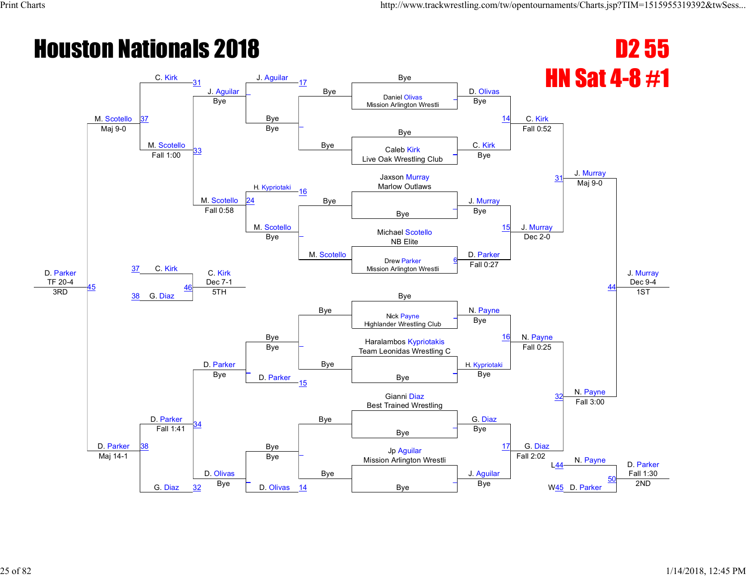#### **Houston Nationals 2018 D2 55** HN Sat 4-8 #1 D. Parker TF 20-4<br>3RD M. Scotello  $C.$  Kirk  $31$ J. Aguilar J. Aguilar 17 Bye Bye D. Olivas C. Kirk J. Murray J. Murray Dec 9-4 37 \_ Daniel Olivas Mission Arlington Wrestli \_ Bye Bye \_ Bye Bye  $14$ Maj 9-0 Bye Bye M. Scotello 33 Bye C. Kirk Fall 0:52 Caleb Kirk Live Oak Wrestling Club \_ Fall 1:00 H. Kypriotaki Bye **Jaxson Murray** Marlow Outlaws M. Scotello 16 Bye J. Murray Maj 9-0 24 Bye \_ Fall 0:58 M. Scotello \_ M. Scotello Bye 15 J. Murray C. Kirk Michael Scotello Bye NIChael Scotland Bye NB Elite D. Parker Dec 2-0 44 37 Drew Parker Mission Arlington Wrestli 6 C. Kirk  $\frac{\text{Dec } 7-1}{5 \text{TH}}$ Bye Fall 0:27 45  $3RD$   $38$  G. Diaz  $3P$  5TH Bye 46 Bye N. Payne N. Payne 1ST D. Parker D. Parker Nick Payne Highlander Wrestling Club \_ D. Parker \_ Bye Bye <sup>16</sup> Haralambos Kypriotakis Bye Figure Team Leonidas Wrestling C H. Kypriotaki Fall 0:25 N. Payne \_ D. Parker **Bye** \_ Bye 15 Bye 32 Bye Gianni Diaz Best Trained Wrestling 34 Bye Bye G. Diaz Fall 3:00 Bye \_ 38 Fall 1:41 \_ Bye Bye Jp Aguilar  $\begin{array}{|c|c|c|c|}\n17 & G. \text{Diag} \end{array}$ Mission Arlington Wrestli New York Call 2.02 N. Payne D. Parker Fall 1:30 Maj 14-1 G. Diaz D. Olivas Bye J. Aguilar Fall 2:02 L44 \_ D. Olivas 14 and Bye \_ W<sub>45</sub> D. Parker 50  $\frac{32}{2}$  Bye  $\begin{array}{|c|c|c|c|c|c|}\hline \text{D. Olivas} & \frac{14}{2} & \text{N.} \ \hline \end{array}$  Bye  $\begin{array}{|c|c|c|c|c|}\hline \text{Bye} & \text{N45} & \text{D. Parker} \ \hline \end{array}$  2ND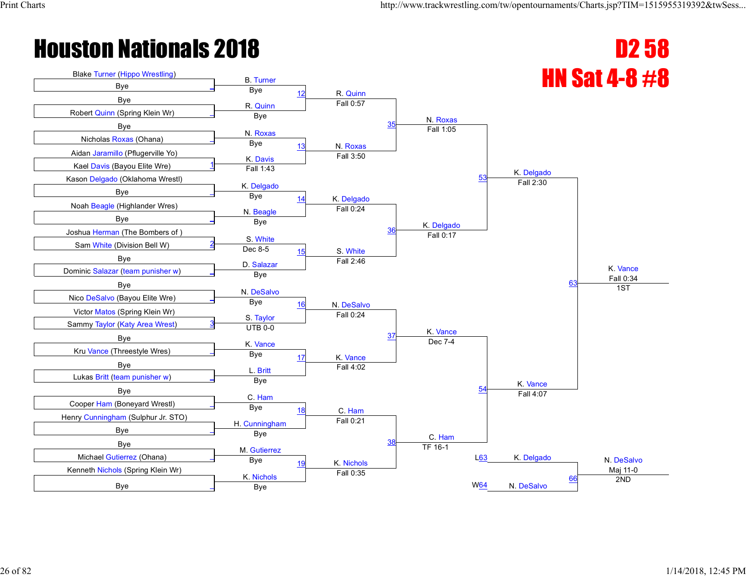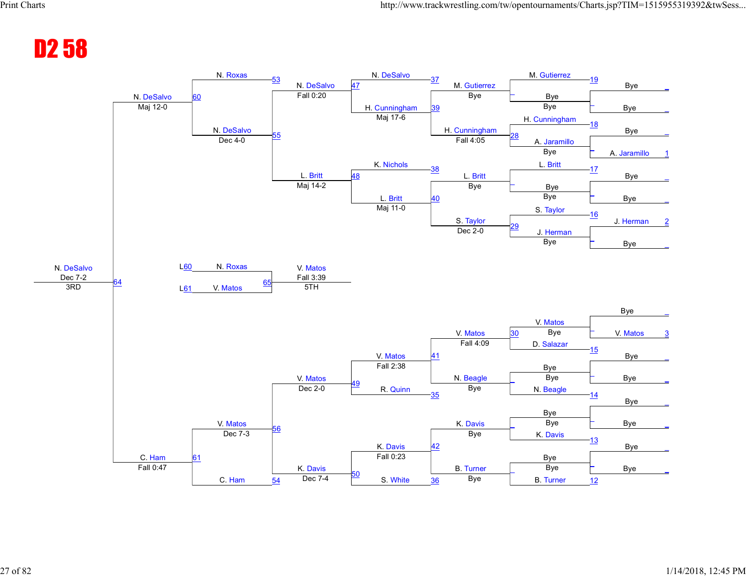#### D2 58

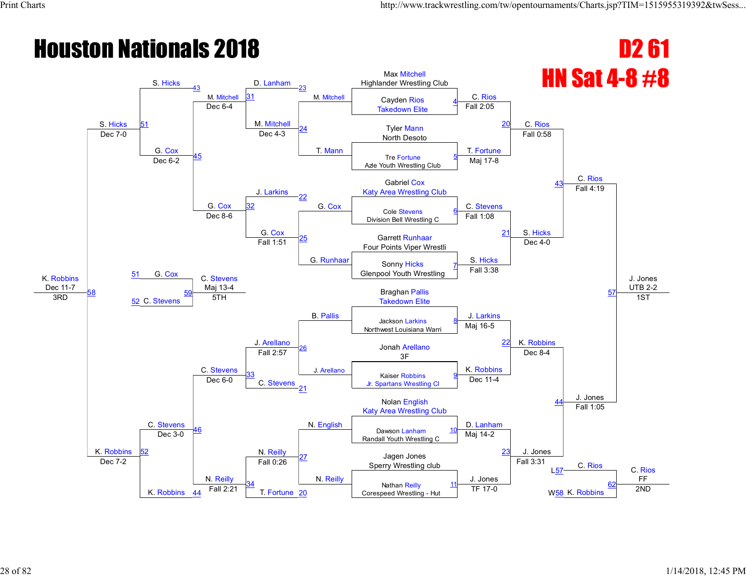#### **Houston Nationals 2018 D2 61 HN Sat 4-8 #8** K. Robbins Dec 11-7 S. Hicks S. Hicks M. Mitchell D. Lanham M. Mitchell Max Mitchell Highlander Wrestling Club C. Rios C. Rios C. Rios J. Jones UTB 2-2 51 31 M. Mitchell Cayden Rios Takedown Elite 4 Dec 6-4 M. Mitchell T. Mann Fall 2:05 <sup>20</sup> Tyler Mann Dec 7-0 Dec 4-3 Per and North Desoto G. Cox  $\overline{45}$ Dec 4-3 T. Fortune Fall 0:58 Tre Fortune Azle Youth Wrestling Club 5 Dec 6-2 J. Larkins Maj 17-8 Gabriel Cox 43 Katy Area Wrestling Club G. Cox 22 G. Cox C. Stevens Fall 4:19 32 Cole Stevens Division Bell Wrestling C 6 Dec 8-6 G. Cox<br>Fall 1:51 25 G. Runhaar Fall 1:08 21 S. Hicks G. Cox Garrett Runhaar Four Points Viper Wrestli S. Hicks Dec 4-0 57 51 Sonny Hicks Glenpool Youth Wrestling 7 C. Stevens Maj 13-4 B. Pallis Fall 3:38 58  $\frac{3RD}{3RD}$   $\frac{52}{52}$  C. Stevens  $\frac{35C}{52}$  5TH  $\frac{3R}{52}$  Takedown Elite 59 Braghan Pallis J. Arellano J. Larkins K. Robbins 1ST K. Robbins C. Stevens Jackson Larkins Northwest Louisiana Warri 8 C. Stevens 26 J. Arellano Maj 16-5 <sup>22</sup> Jonah Arellano Fall 2:57  $\frac{20}{3}$  3F K. Robbins Dec 8-4 J. Jones 33 C. Stevens<br>21 Kaiser Robbins Jr. Spartans Wrestling Cl <u>9</u> Dec 6-0 Dec 11-4 44 N. Reilly Nolan English Katy Area Wrestling Club <sup>46</sup> N. English D. Lanham Fall 1:05 Dawson Lanham Randall Youth Wrestling C 10 52 Dec 3-0 27 N. Reilly Maj 14-2 <sup>23</sup> J. Jones Jagen Jones Sperry Wrestling club **C.** Rios C. Rios C. Rios FF Dec 7-2 K. Robbins N. Reilly Fall 0:26 J. Jones Fall 3:31 L57 34 T. Fortune Nathan Reilly  $\frac{44}{14}$  Fall 2:21  $\begin{array}{|l|l|l|l|l|}\n\hline\n\text{Formula:} & \text{Example 2D} \\
\hline\n\text{Conespeed Wrestling - Hut} & \text{TF 17-0} \\
\hline\n\end{array}$  W<sub>58</sub> K. Robbins 2ND 11 W<sub>58</sub> K. Robbins 62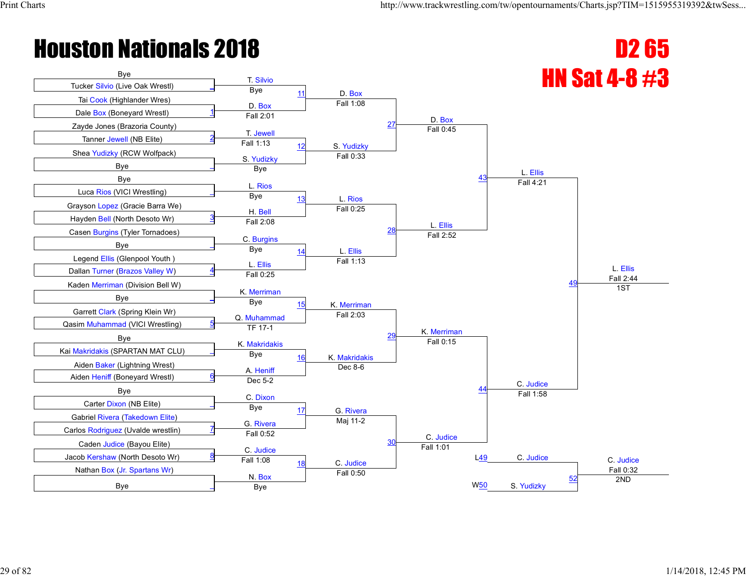

| Carlos Rodriquez (Ovalge wrestlin) | Fall 0:52              |                        | C. Judice |                 |            |           |
|------------------------------------|------------------------|------------------------|-----------|-----------------|------------|-----------|
| Caden Judice (Bavou Elite)         |                        |                        | Fall 1:01 |                 |            |           |
| Jacob Kershaw (North Desoto Wr)    | C. Judice<br>Fall 1:08 |                        |           | L49             | C. Judice  | C. Judice |
| Nathan Box (Jr. Spartans Wr)       |                        | C. Judice<br>Fall 0:50 |           |                 |            | Fall 0:32 |
| <b>B</b> ve                        | N. Box<br>Bye          |                        |           | W <sub>50</sub> | S. Yudizky | 2ND       |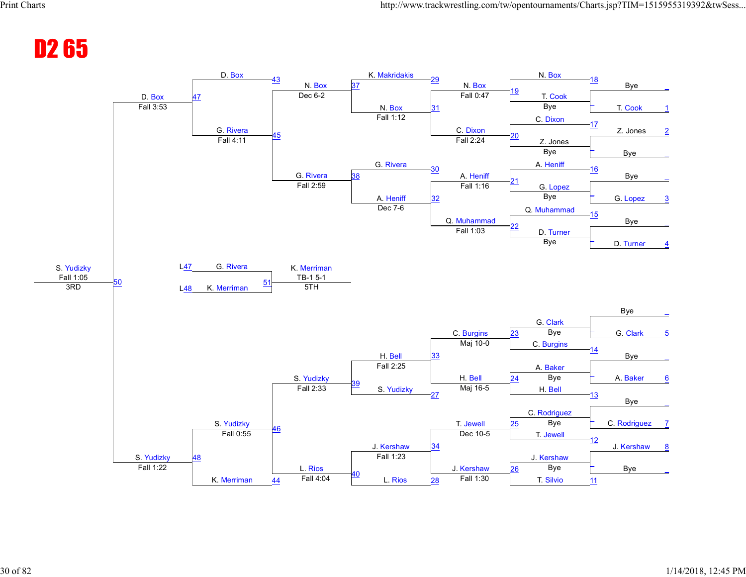#### D2 65

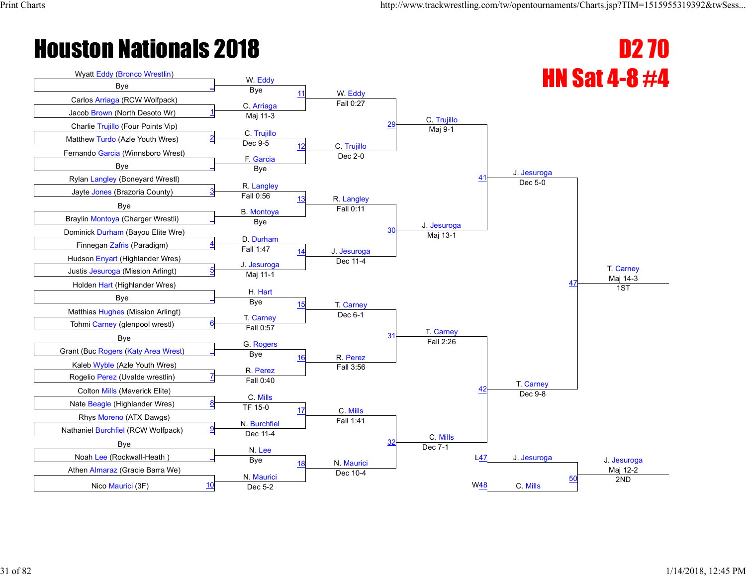

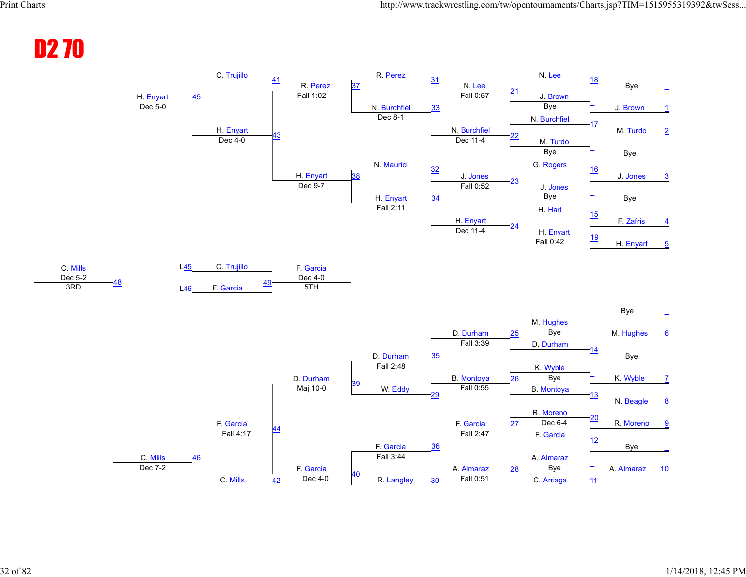#### D2 70

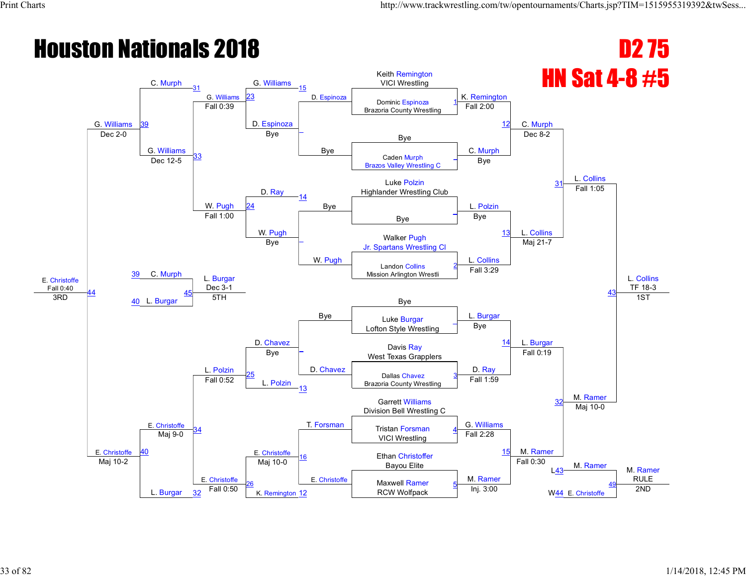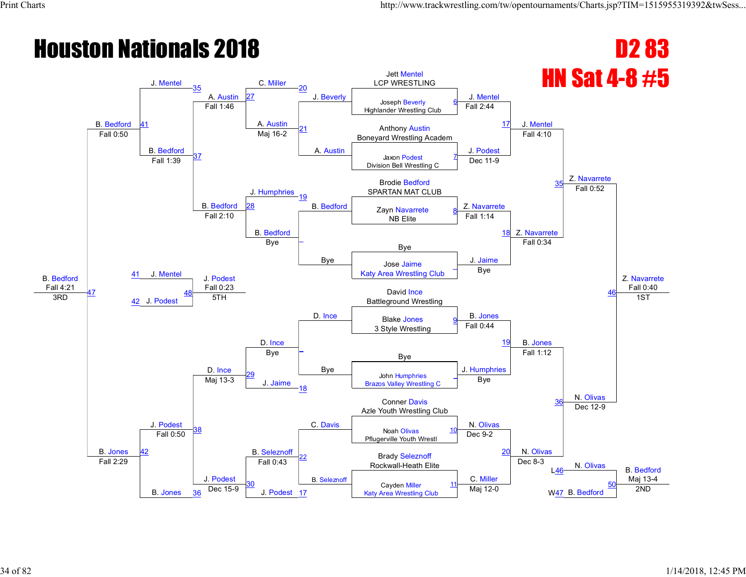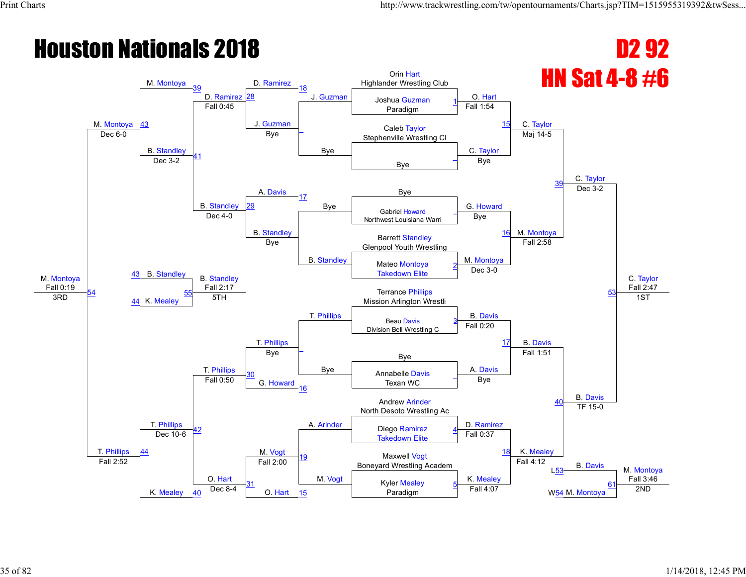#### **Houston Nationals 2018** D2 92 **HN Sat 4-8 #6** M. Montoya Fall 0:19 M. Montoya 43 M. Montoya 39 D. Ramirez 28 D. Ramirez 18 J. Guzman Orin Hart Highlander Wrestling Club O. Hart C. Taylor C. Taylor C. Taylor Fall 2:47 Joshua Guzman Paradigm 1 Fall 0:45 J. Guzman \_ Bye Fall 1:54 <sup>15</sup> Caleb Taylor Dec 6-0 **Dec 6-0 Dec 6-0 Dec 6-0 Dec 6-0 Dec 6-0 Dec 6-0 Dec 6-0 Dec 6-0 Dec 6-0 Dec** 6-0 **Dec** 6-0 **Dec** 6-0 **Dec** 6-0 **Dec** 6-0 **Dec** 6-0 **Dec** 6-0 **Dec** 6-0 **Dec** 6-0 **Dec** 6-0 **Dec** 6-0 **Dec** 6-0 **Dec** B. Standley 41 Bye C. Taylor Maj 14-5 Bye \_ Dec 3-2 A. Davis Bye 39 Bye B. Standley 17 Bye **Bye** G. Howard Dec 3-2 29 Gabriel Howard Northwest Louisiana Warri \_ Dec 4-0 B. Standley \_ B. Standley Bye 16 M. Montoya 43 B. Standley Barrett Standley Bye Bye Burield Standing<br>Glenpool Youth Wrestling M. Montoya Fall 2:58 53 Mateo Montoya Takedown Elite 2 B. Standley Fall 2:17 T. Phillips Dec 3-0 54 44 K. Mealey <u>sin 2.17</u><br>5TH **Terrance Phillips** The Mission Arlington Wrestli 3RD 54 Mission Arlington Wrestli 3RD 57H 3RD 5TH 3RD 5TH T. Phillips B. Davis B. Davis 1ST T. Phillips T. Phillips Beau Davis Division Bell Wrestling C 3 T. Phillips \_ Bye Fall 0:20 17 Bye <mark>–</mark> Bye Bye A. Davis Fall 1:51 B. Davis 30 G. Howard Annabelle Davis Texan WC  $\overline{a}$ Fall 0:50 16 Bye 40 M. Vogt Andrew Arinder North Desoto Wrestling Ac 42 A. Arinder Diego Ramirez (B. Ramirez)<br>A. Arinder Diego Ramirez (B. P. Ramirez) TF 15-0 Takedown Elite 4 44 Dec 10-6 19 M. Vogt Fall 0:37 Maxwell Vogt **18 K. Mealey** Boneyard Wrestling Academ **B. Davis** M. Montoya Fall 3:46 Fall 2:52 K. Mealey O. Hart Fall 2:00 K. Mealey Fall 4:12 L53 31 O. Hart Kyler Mealey Paradigm 5 W<sub>54</sub> M. Montoya 61  $\frac{40}{10}$  Dec 8-4 **O.** Hart  $\frac{15}{15}$  **Paradigm**  $\frac{9}{10}$  Fall 4:07 W<sub>54</sub> M. Montoya<sup>1</sup> 2ND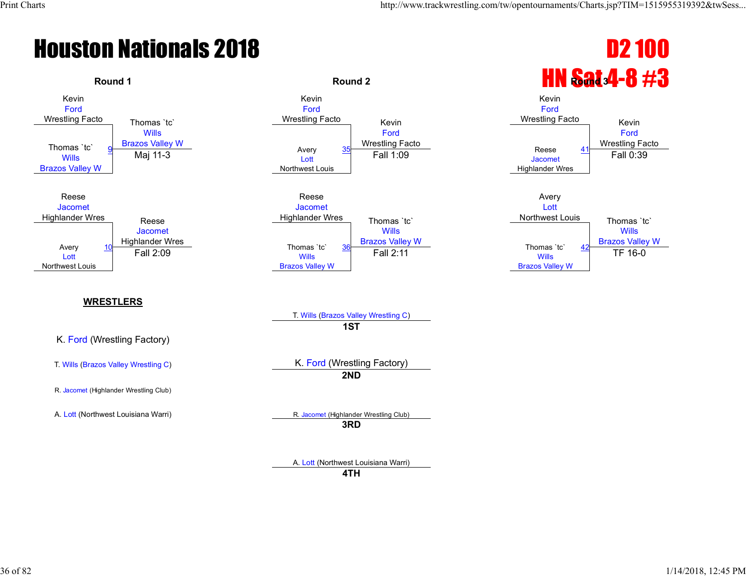

A. Lott (Northwest Louisiana Warri)

**4TH**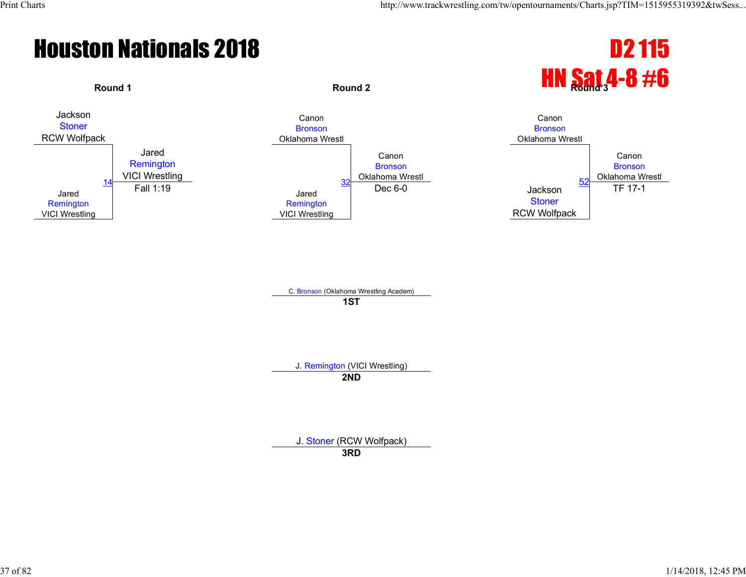



C. Bronson (Oklahoma Wrestling Academ) **1ST**

J. Remington (VICI Wrestling)

**2ND**

J. Stoner (RCW Wolfpack)

**3RD**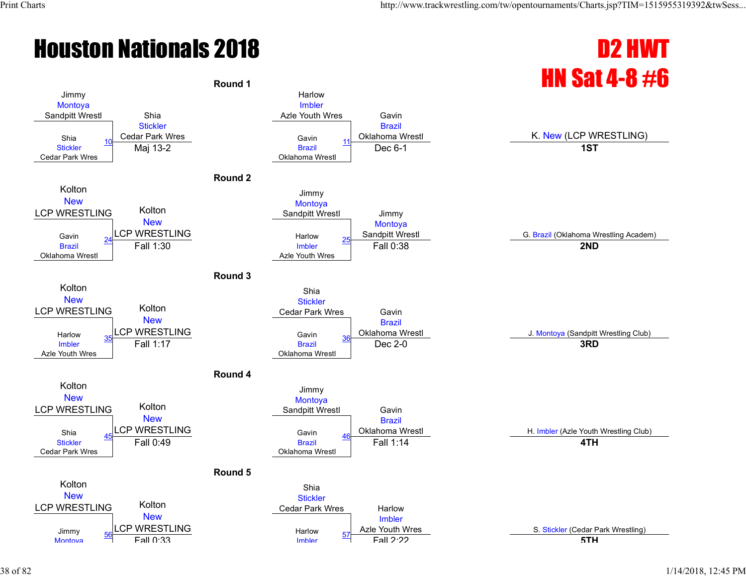## **Houston Nationals 2018 D2 HWT**

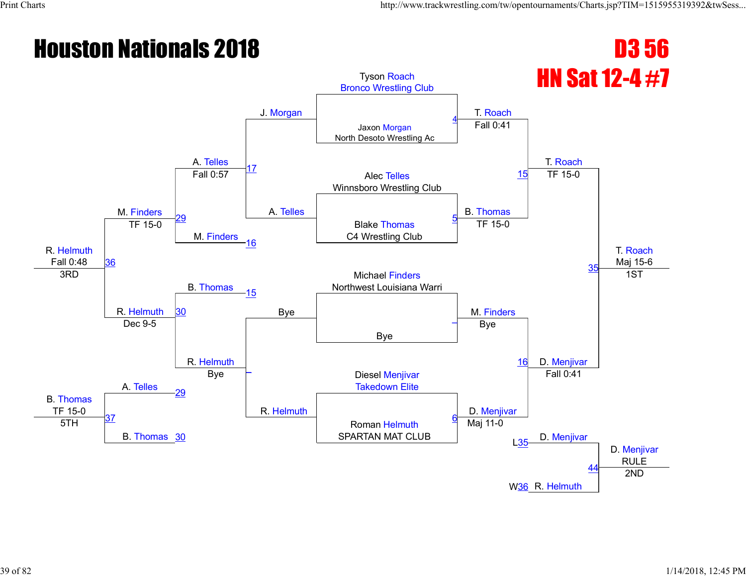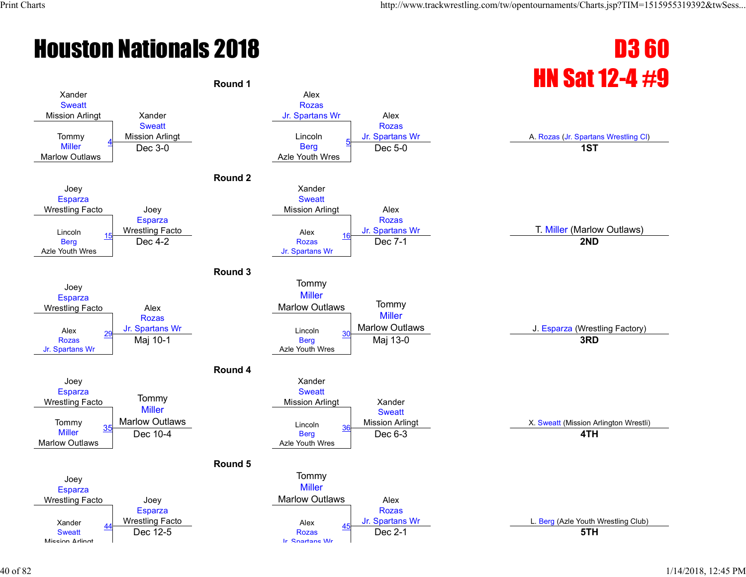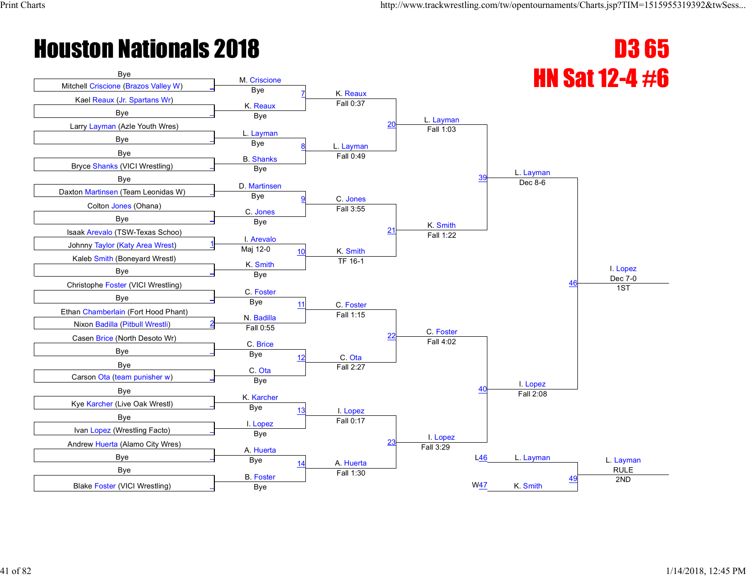

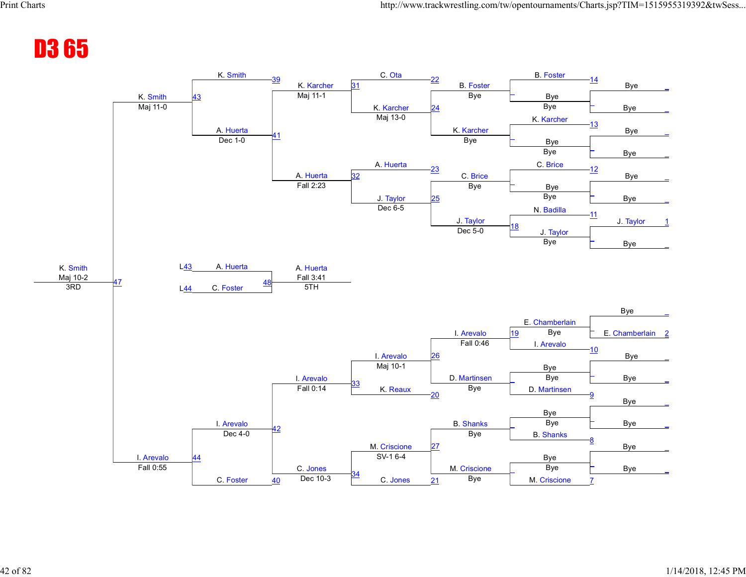#### D3 65

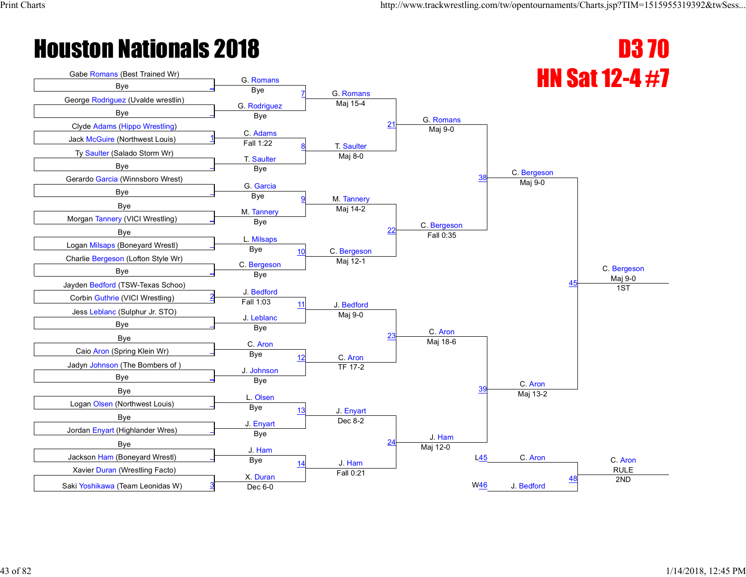**Bye** 

George Rodriguez (Uvalde wrestlin)

**Bye** 

Jack McGuire (Northwest Louis)

G. Romans

Bye

C. <mark>Adams</mark><br>Fall 1:22

Bye



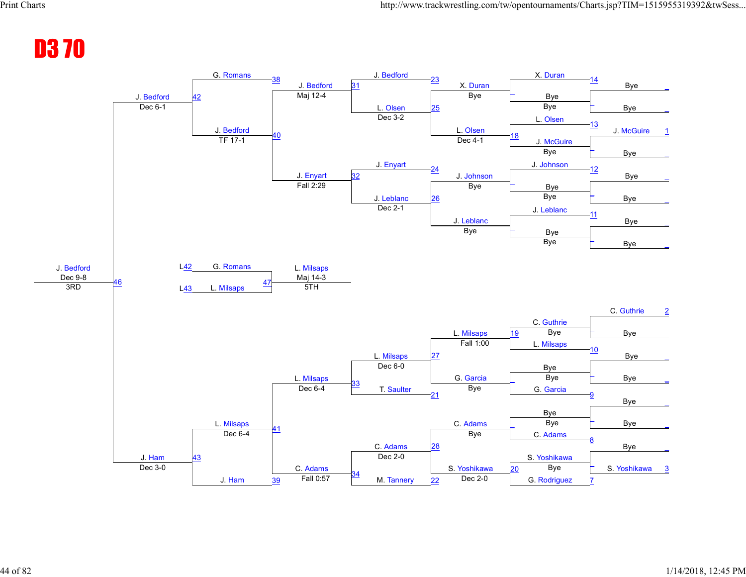#### D3 70

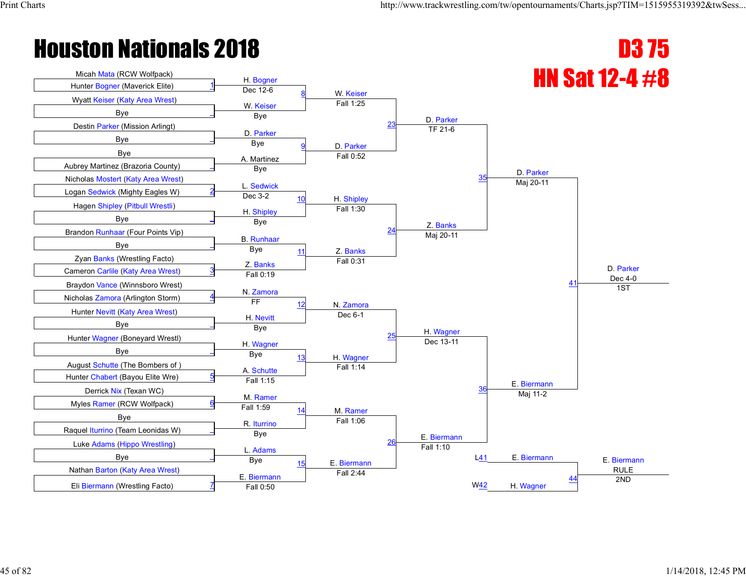

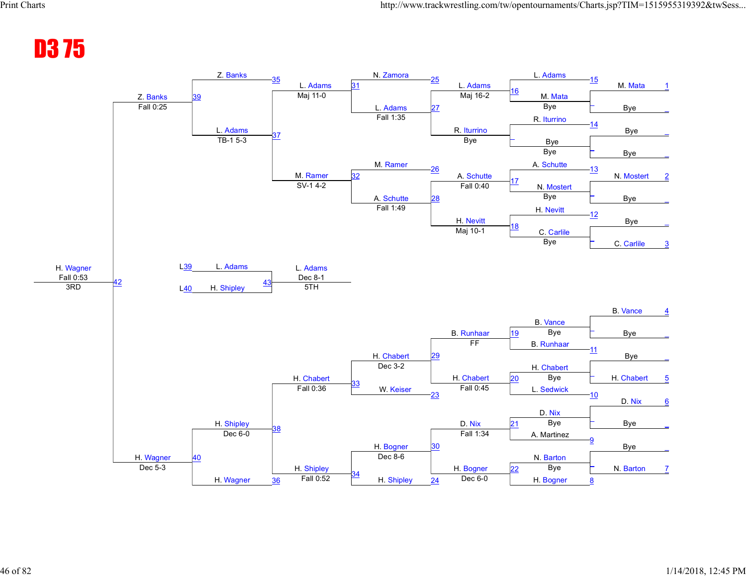#### D3 75

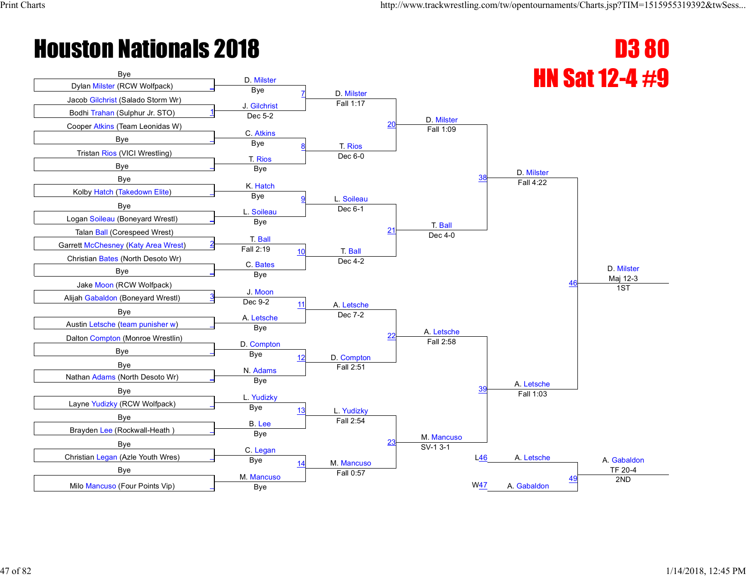

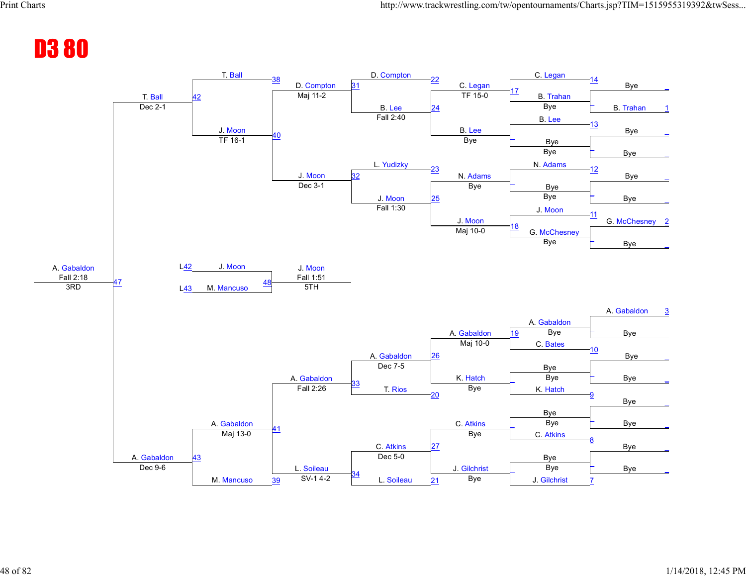#### D3 80

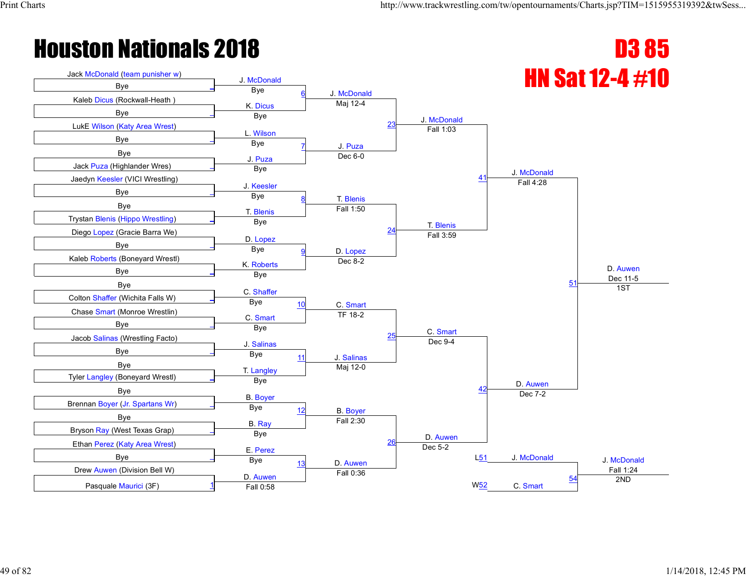

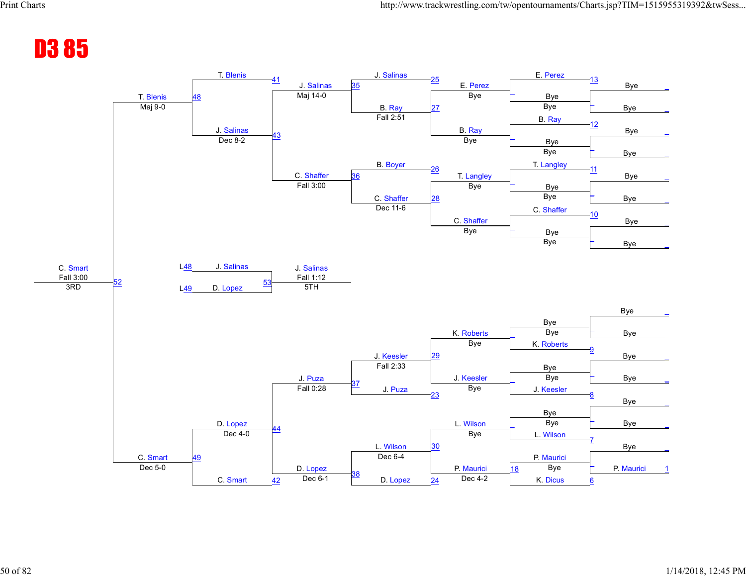#### D3 85

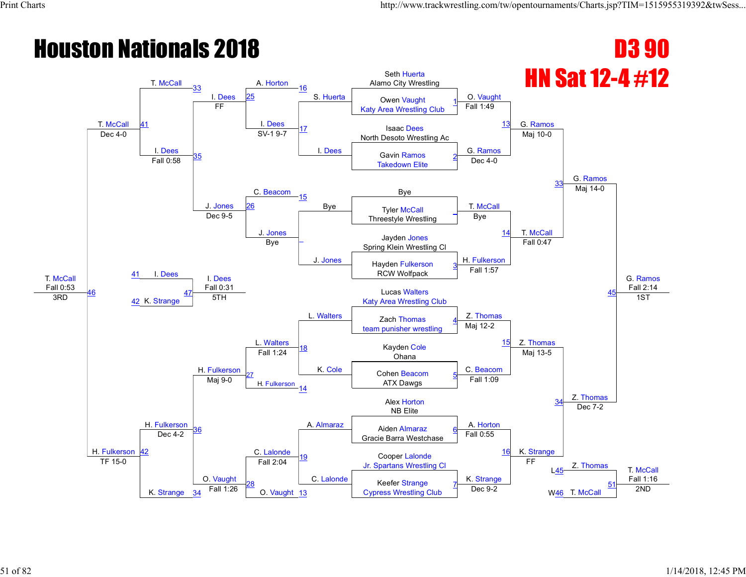#### **Houston Nationals 2018 D3 90** HN Sat 12-4 #12 T. McCall Fall 0:53 T. McCall T. McCall 33 I. Dees A. Horton 16 S. Huerta Seth Huerta Alamo City Wrestling O. Vaught G. Ramos G. Ramos G. Ramos Fall 2:14 41 25 S. Huerta Owen Vaught Katy Area Wrestling Club 1 FF  $\frac{1. \text{Dees}}{21.4 \text{ s}^2}$  17 I. Dees Fall 1:49 <sup>13</sup> Isaac Dees North Desoto Wrestling According Acts North Desoto Wrestling Acts North Desoto Wrestling Acts I. Dees 35 SV-1 9-7 G. Ramos Maj 10-0 Gavin Ramos Takedown Elite 2 Fall 0:58 C. Beacom Dec 4-0 33 Bye J. Jones 15 26 Bye Fyler McCall T. McCall Maj 14-0 Threestyle Wrestling \_ Dec 9-5 J. Jones \_ J. Jones Bye 14 T. McCall I. Dees Jayden Jones Bye Demonstration Bye Dayden Jones<br>Spring Klein Wrestling Cl H. Fulkerson Fall 0:47 45 41 Hayden Fulkerson RCW Wolfpack 3 I. Dees Fall 0:31 L. Walters Fall 1:57 46 42 K. Strange <u>47 Lucas Walters</u><br>5TH 27 Lucas Walters The Cucas wallets and the Cucas Wallets<br> **Example 3RD** 42 K. Strange 3TH 3TH Katy Area Wrestling Club L. Walters Z. Thomas Z. Thomas 1ST H. Fulkerson 42 H. Fulkerson Zach Thomas team punisher wrestling 4 H. Fulkerson 18 K. Cole Maj 12-2 <sup>15</sup> Kayden Cole Fall 1:24 **10** Rayuell **C** Rayuell **C** Rayuell **C** C. Beacom Maj 13-5 Z. Thomas 27 H. Fulkerson 14 Cohen Beacom ATX Dawgs 5 Maj 9-0 Fall 1:09 34 C. Lalonde Alex Horton NB Elite <sup>36</sup> A. Almaraz A. Horton Aiden Almaraz Dec 7-2 Gracie Barra Westchase 6 Dec 4-2 19 C. Lalonde Fall 0:55 Cooper Lalonde 16 K. Strange Jr. Spartans Wrestling Cl **Example 2** Thomas T. McCall Fall 1:16 TF 15-0 K. Strange O. Vaught Fall 2:04 K. Strange FF  $145$ 28 O. Vaught Keefer Strange  $\frac{34}{\sqrt{10}}$  Fall 1:26  $\frac{20}{\sqrt{10}}$  O. Vaught  $\frac{13}{\sqrt{10}}$  Cypress Wrestling Club  $\frac{1}{\sqrt{10}}$  Dec 9-2 W46 T. McCall  $\frac{34}{\sqrt{10}}$  2ND 7 W<sub>46</sub> T. McCall 51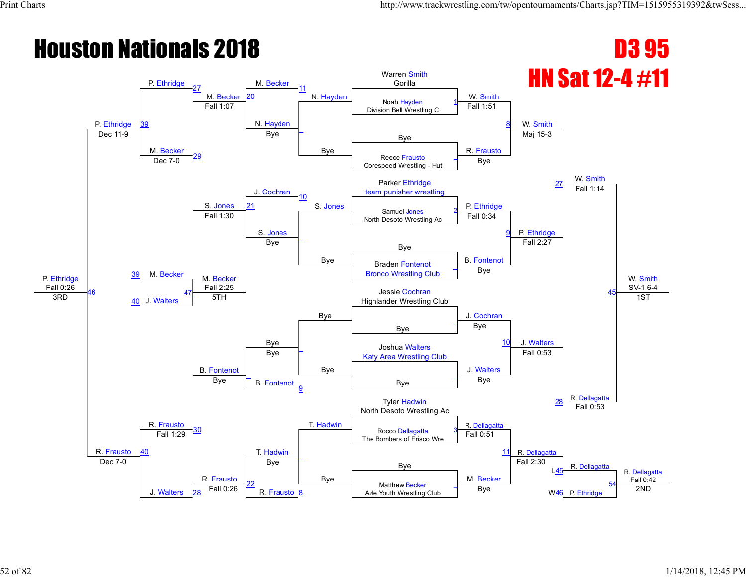#### **Houston Nationals 2018 D3 95** HN Sat 12-4 #11 P. Ethridge Fall 0:26 P. Ethridge P. Ethridge 27 M. Becker 20 M. Becker N. Hayden Warren Smith Gorilla W. Smith W. Smith W. Smith W. Smith SV-1 6-4 39 Noah Hayden Division Bell Wrestling C 1 Fall 1:07 N. Hayden \_ Bye Fall 1:51 8 Dec 11-9 Bye Bye M. Becker 29 Bye R. Frausto Maj 15-3 Reece Frausto Corespeed Wrestling - Hut \_ Dec 7-0 J. Cochran Bye Parker Ethridge 27 and 27 and 27 and 27 and 27 and 27 and 27 and 27 and 27 and 27 and 27 and 27 and 27 and 27 and 27 and 27 and 27 and 27 and 27 and 27 and 27 and 27 and 27 and 27 and 27 and 27 and 27 and 27 and 27 and 27 team punisher wrestling S. Jones 10 S. Jones **P. Ethridge** Fall 1:14 21 Samuel Jones North Desoto Wrestling Ac 2 Fall 1:30 S. Jones \_ Bye Fall 0:34 9 P. Ethridge M. Becker Bye <mark>–</mark> Bye B. Fontenot Fall 2:27 45 39 Braden Fontenot Bronco Wrestling Club \_ M. Becker Fall 2:25 Bye Bye 46 40 J. Walters 41 Z.23 Jessie Cochran Jessie Cochran Jessie Cochran Jessie Cochran Jessie Cochran Jessie Cochran Jessie Cochran Jessie Cochran Jessie Cochran Jessie Cochran Jessie Cochran Jessie Cochran Jessie Cochran Jessie Cochran Jess The Sessie Cocinan and the SRD 40 J. Walters 41 5TH Jessie Cocinan Jessie Cocinan 3RD 40 J. Walters 41 5TH Jessie Cocinan 3RD 40 J. Walters 41 5TH 3RD 41 Highlander Wrestling Club Bye J. Cochran J. Walters 1ST R. Frausto R. Frausto Bye \_ B. Fontenot \_ Bye Bye <sup>10</sup> Joshua Walters Bye **F Katy Area Wrestling Club** J. Walters Fall 0:53 R. Dellagatta \_ B. Fontenot established by Bye  $\overline{a}$ Bye 9 Bye 28 T. Hadwin Tyler Hadwin North Desoto Wrestling Ac <sup>30</sup> T. Hadwin R. Dellagatta Fall 0:53 Rocco Dellagatta The Bombers of Frisco Wre 3 40 Fall 1:29 \_ Bye Fall 0:51 11 R. Dellagatta Bye **R.** Dellagatta R. Dellagatta Fall 0:42 Dec 7-0 J. Walters R. Frausto Bye M. Becker Fall 2:30  $145$ 22  $\frac{28}{28}$  Fall 0:26  $\frac{28}{8}$  R. Frausto 8 Matthew Becker Azle Youth Wrestling Club \_ Bye W46 P. Ethridge 2ND 54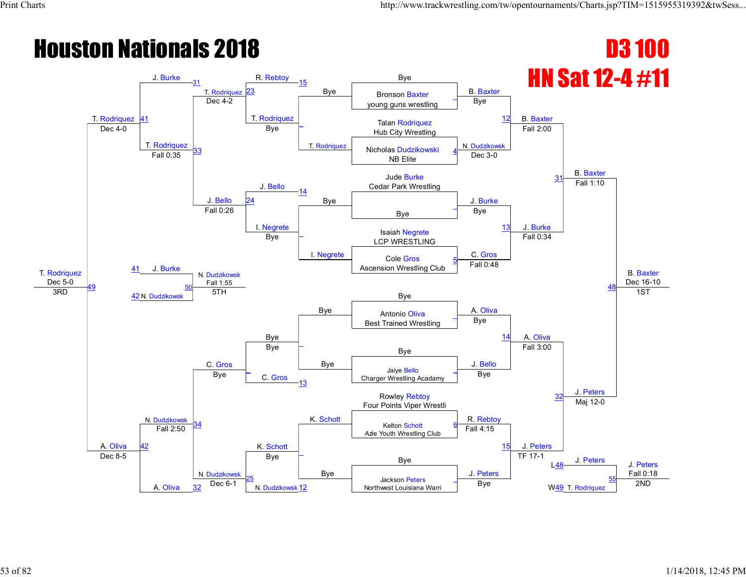#### **Houston Nationals 2018 D3 100** HN Sat 12-4 #11 T. Rodriquez  $\frac{\text{Dec } 5-0}{3 \text{RD}}$ T. Rodriquez 41  $J.$  Burke  $31$ T. Rodriquez R. Rebtoy 15 Bye Bye B. Baxter B. Baxter B. Baxter B. Baxter Dec 16-10 **Bronson Baxter** young guns wrestling \_ Dec 4-2 T. Rodriquez \_ T. Rodriquez Bye Talan Rodriquez **12** Dec 4-0 Bye Hub City Wrestling T. Rodriquez 33 Bye N. Dudzikowsk Fall 2:00 Nicholas Dudzikowski NB Elite 4 Fall 0:35 J. Bello Dec 3-0 Jude Burke 31 and 31 and 31 and 31 and 31 and 31 and 31 and 31 and 31 and 31 and 31 and 31 and 31 and 31 and 31 Cedar Park Wrestling J. Bello 14 Bye J. Burke Fall 1:10 24 Bye \_ Fall 0:26 I. Negrete \_ I. Negrete Bye 13 J. Burke J. Burke Isaiah Negrete Bye **Bye** Isaian Negrete C. Gros Fall 0:34 48 41 Cole Gros Ascension Wrestling Club 5 N. Dudzikowsk Fall 1:55 Bye Fall 0:48 <u>49</u> 3RD  $\frac{42 \text{ N. Dudzikowski}}{5}$  5TH 50 Bye A. Oliva A. Oliva 1ST A. Oliva N. Dudzikowsk Antonio Oliva Best Trained Wrestling \_ C. Gros \_ Bye Bye 14 Bye Figure Bye J. Bello Fall 3:00 J. Peters \_ C. Gros Jaiye Bello Charger Wrestling Acadamy \_ Bye 13 Bye 32 K. Schott Rowley Rebtoy Four Points Viper Wrestli <u>K. Schott</u> K. Kehott R. Rebtoy<br>34 Kelton Schott 6 Foll 4:45 Maj 12-0 Kelton Schott Azle Youth Wrestling Club 6 42 Fall 2:50 \_ Bye Fall 4:15 15 J. Peters Bye **J. Peters** J. Peters J. Peters Fall 0:18 Dec 8-5 A. Oliva N. Dudzikowsk Bye J. Peters TF 17-1 L<u>48</u> 25 N. Dudzikowsk Jackson Peters  $\frac{32}{2}$  Dec 6-1 **N**orthwest Louisiana Warri **Bye** Bye W<u>49</u> T. Rodriquez 2ND \_ W49 T. Rodriquez 55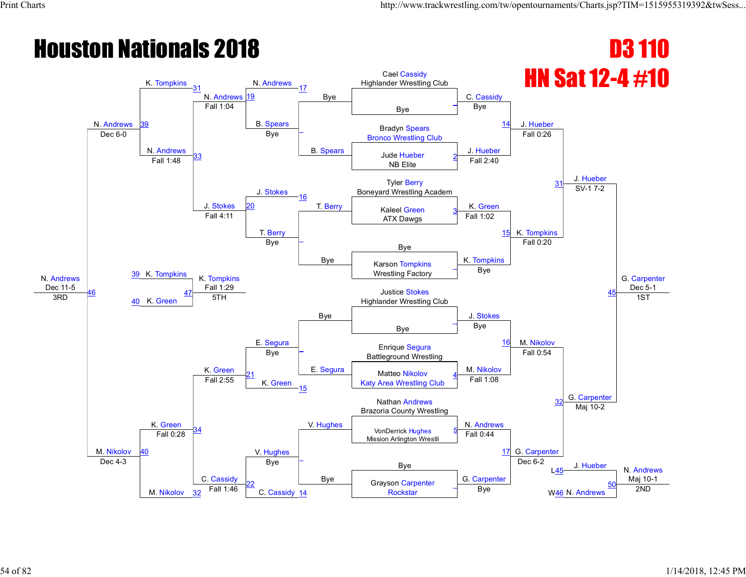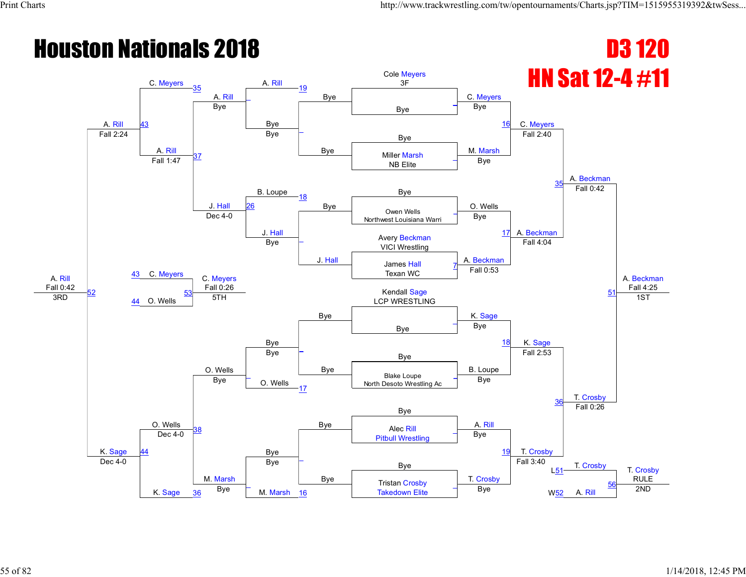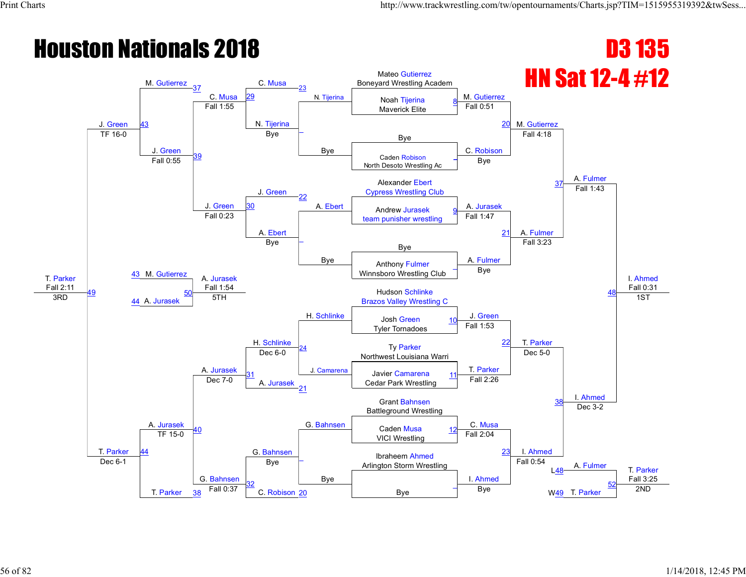#### **Houston Nationals 2018 D3 135** HN Sat 12-4 #12 T. Parker Fall 2:11 J. Green M. Gutierrez 37 C. Musa C. Musa N. Tijerina Mateo Gutierrez Boneyard Wrestling Academ M. Gutierrez M. Gutierrez A. Fulmer I. Ahmed Fall 0:31 43 29 N. Tijerina Noah Tijerina Maverick Elite 8 Fall 1:55 N. Tijerina \_ Bye Fall 0:51 20 TF 16-0 Bye Bye J. Green 39 Bye C. Robison Fall 4:18 Caden Robison North Desoto Wrestling Ac \_ Fall 0:55 J. Green Bye Alexander Ebert Cypress Wrestling Club J. Green 22 A. Ebert Androw Iurosok A. Jurasek Fall 1:43 30 A. Ebert Andrew Jurasek team punisher wrestling <u>9</u> Fall 0:23 A. Ebert \_ Bye Fall 1:47 21 A. Fulmer 43 M. Gutierrez Bye <mark>–</mark> Bye A. Fulmer Fall 3:23 48 Anthony Fulmer Winnsboro Wrestling Club \_ A. Jurasek Fall 1:54 H. Schlinke Bye 49 44 A. Jurasek <u>sin 1.34</u><br>5TH **Breast Addition Schlinke** are the set of the set of the set of the set of the set of the set of the set of the set of the set of the set o<br>Brazos Valley Wrestling C H. Schlinke J. Green T. Parker 1ST T. Parker A. Jurasek Josh Green Tyler Tornadoes 10 A. Jurasek 24 J. Camarena Fall 1:53 <sup>22</sup> Ty Parker Dec 6-0 Person Bec 6-0 Person Bluest Louisiana Warri Dec 6-0 Person Bluest Louisiana Warri Bluest Louisiana W T. Parker Dec 5-0 I. Ahmed 31 11 Javier Camarena<br>Dec 7-0 **12 A. Jurasek 2.** Cedar Park Wrestling Javier Camarena Cedar Park Wrestling 21 Fall 2:26 38 G. Bahnsen Grant Bahnsen Battleground Wrestling 40 G. Bahnsen Caden Musa 12 C. Musa<br>40 G. De C. Musa 12 C. Musa 12 C. Musa Dec 3-2 Caden Musa VICI Wrestling <u>12</u> 44 TF 15-0 \_ Bye Fall 2:04  $\frac{23}{2}$  I. Ahmed Arlington Storm Wrestling Manuel A. Fulmer T. Parker Fall 3:25 Dec 6-1 T. Parker G. Bahnsen Bye I. Ahmed Fall 0:54 L48 32 C. Robison 20 and Bye \_ W<sub>49</sub> T. Parker 52  $\frac{38}{38}$  Fall 0:37  $\frac{38}{38}$  C. Robison 20  $\frac{20}{38}$  Bye  $\frac{1}{2}$  Bye W<u>49</u> T. Parker  $\frac{32}{38}$  2ND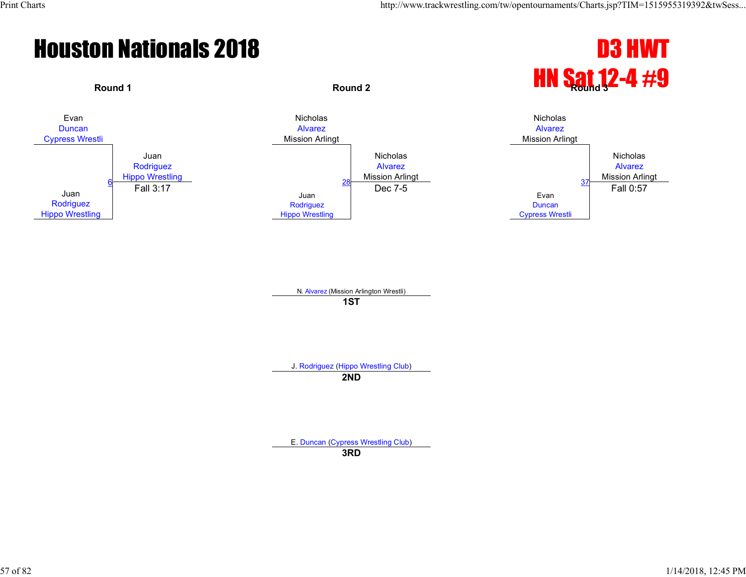



N. Alvarez (Mission Arlington Wrestli) **1ST**

J. Rodriguez (Hippo Wrestling Club)

**2ND**

E. Duncan (Cypress Wrestling Club)

**3RD**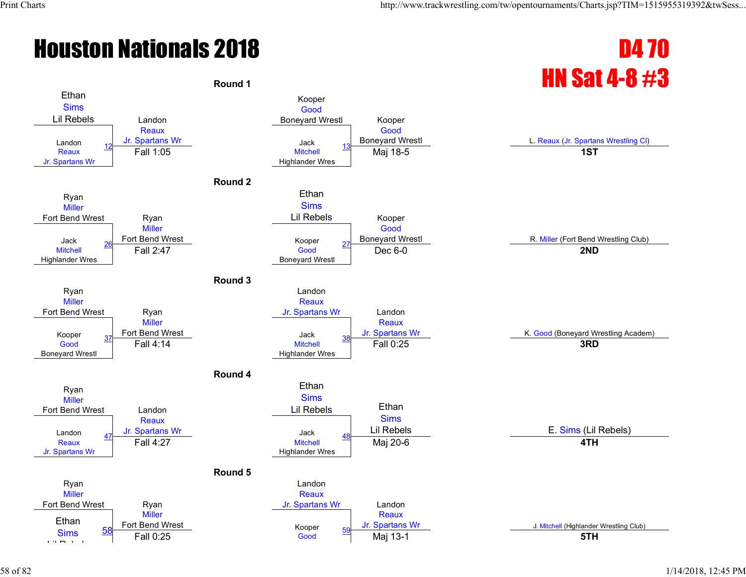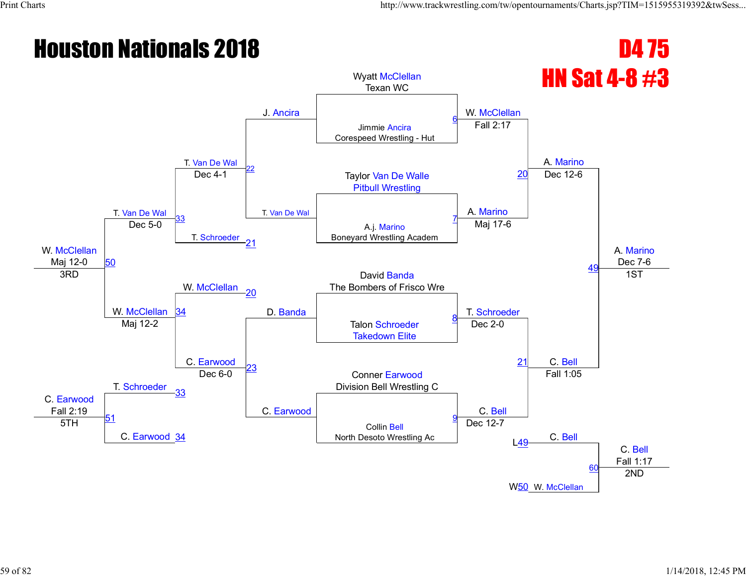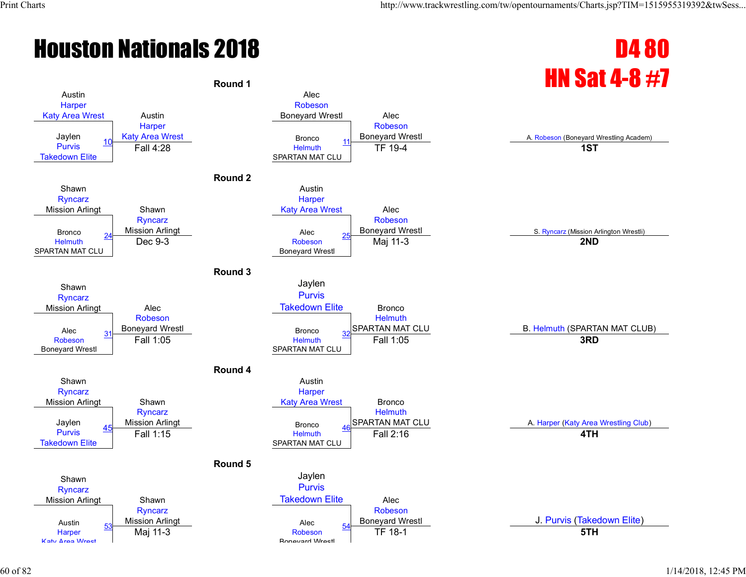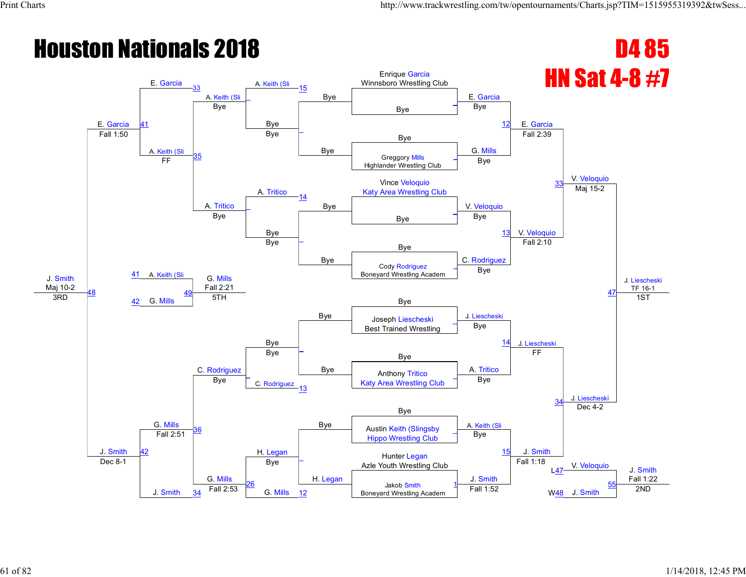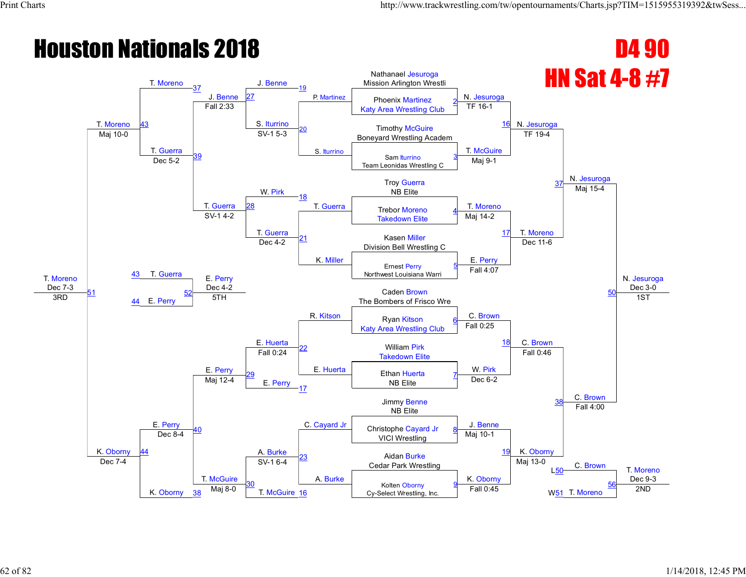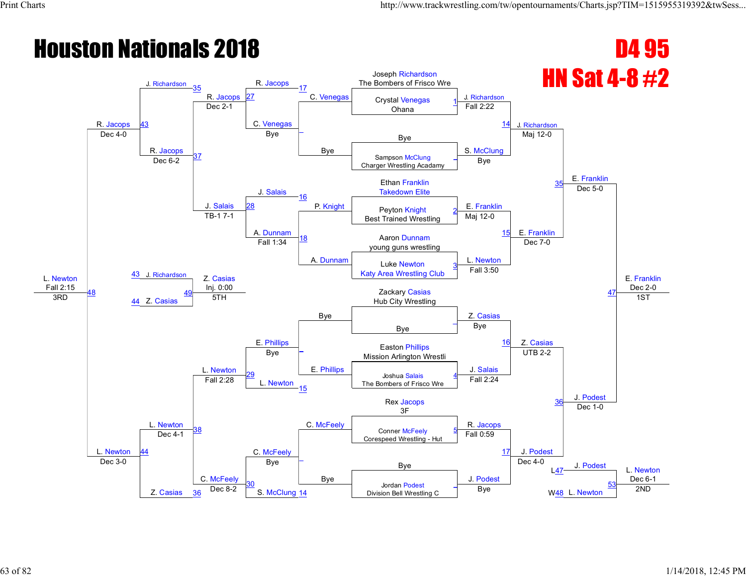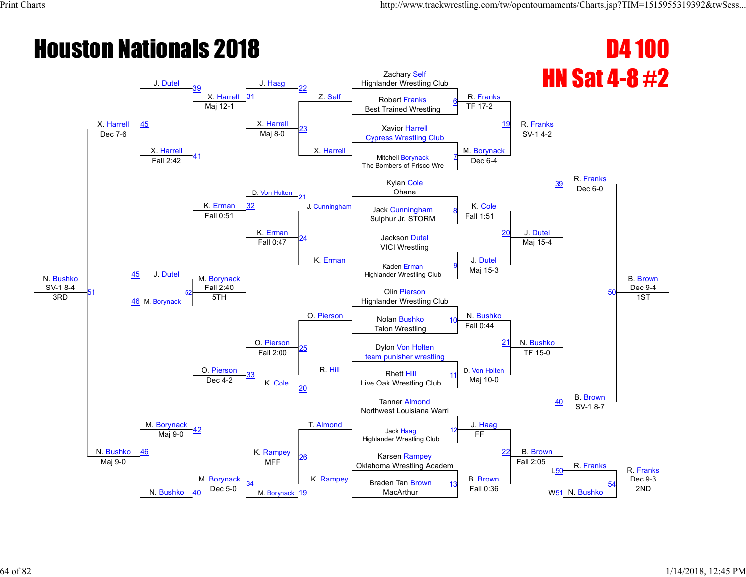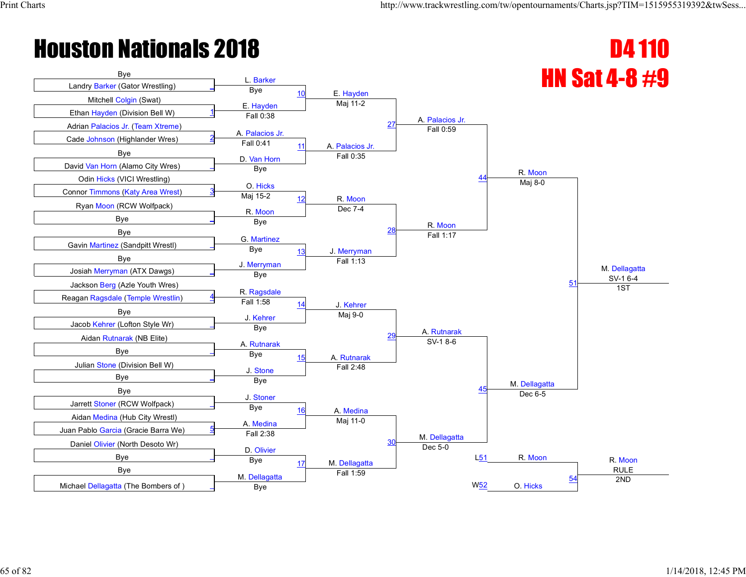

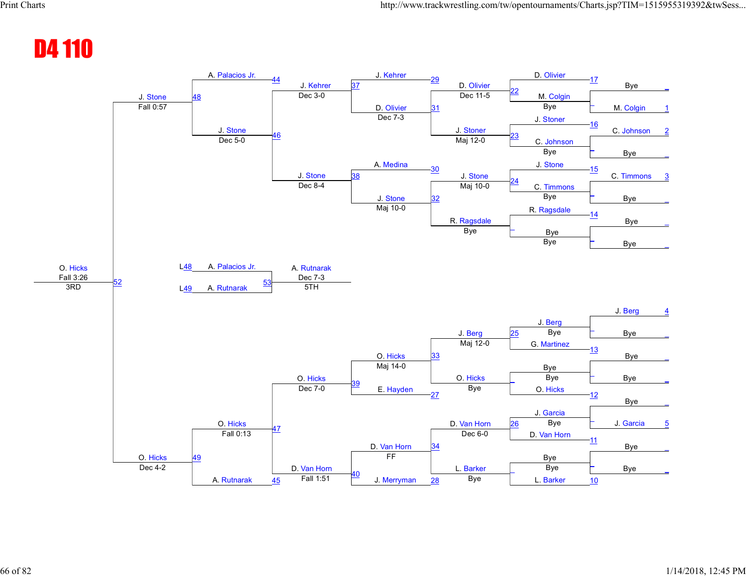#### D4 110

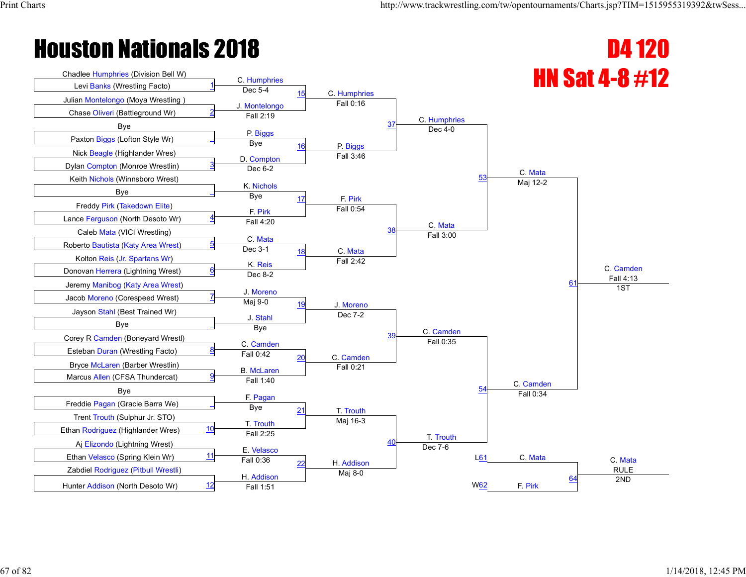# Chadlee Humphries (Division Bell W) C. Humphries (Q. Alemphries (Division Bell W) C. Humphries (Q. Alemphries Control of the Mumphries (Division Bell W) C. Humphries (Q. Alemphries Control of the Mumphries Control of the

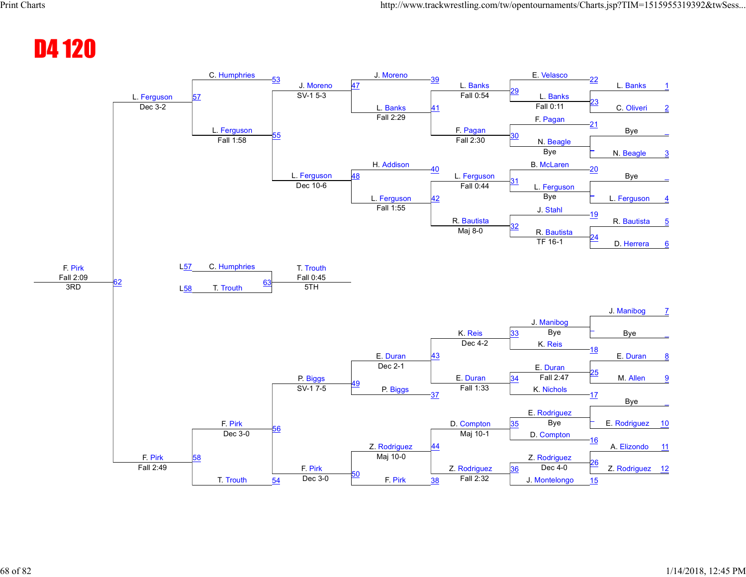#### D4 120

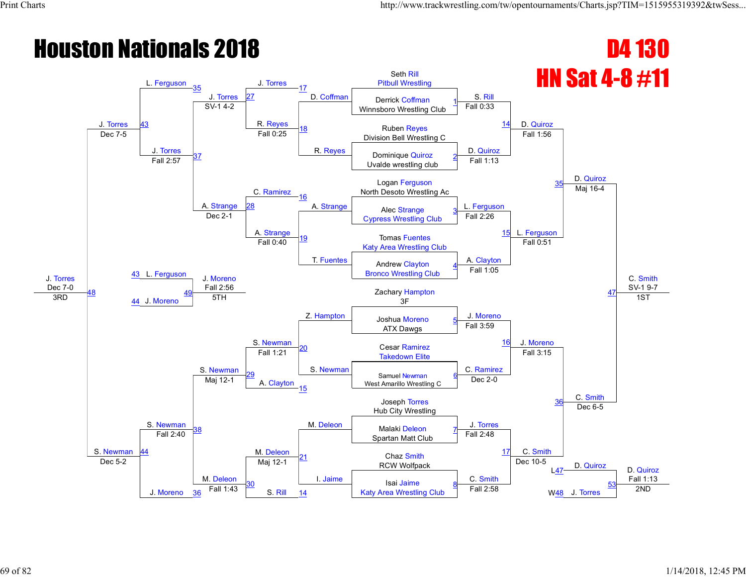#### **Houston Nationals 2018 D4 130** HN Sat 4-8 #11 J. Torres Dec 7-0 J. Torres L. Ferguson 35 J. Torres J. Torres D. Coffman Seth Rill Pitbull Wrestling S. Rill D. Quiroz D. Quiroz C. Smith SV-1 9-7 43 27 D. Coffman Derrick Coffman Winnsboro Wrestling Club 1 SV-1 4-2 R. <mark>Reyes</mark><br>Fall 0:25 R. Reyes Fall 0:33 Ruben Reyes **14** <u>Division Bell Wrestling Control Control Control of</u> Bell Wrestling Control Division Bell Wrestling Control Division Bell Wrestling Control Division Bell Wrestling Control of Division Bell Wrestling Control of the Control J. Torres 37 D. Quiroz Fall 1:56 Dominique Quiroz Uvalde wrestling club 2 Fall 2:57 C. Ramirez Fall 1:13 Logan Ferguson North Desoto Wrestling Ac A. Strange 16 A. Strange  $\sqrt{R}$  also Strange  $\sqrt{R}$  L. Ferguson Maj 16-4 28 A. Strange A. Alec Strange Cypress Wrestling Club 3 Dec 2-1 A. Strange<br>Fall 0:40 19 T. Fuentes Fall 2:26 15 L. Ferguson 43 L. Ferguson Tomas Fuentes Katy Area Wrestling Club A. Clayton Fall 0:51 47 Andrew Clayton Bronco Wrestling Club 4 J. Moreno Fall 2:56 Z. Hampton Fall 1:05 48  $\overline{AB}$   $\overline{44}$  J. Moreno  $\overline{5}$   $\overline{5}$   $\overline{5}$   $\overline{5}$   $\overline{5}$   $\overline{5}$   $\overline{5}$   $\overline{5}$   $\overline{5}$   $\overline{5}$   $\overline{5}$   $\overline{5}$   $\overline{5}$   $\overline{5}$   $\overline{5}$   $\overline{5}$   $\overline{5}$   $\overline{5}$   $\overline{5}$   $\overline{5}$   $\overline{5}$   $\over$ <u>aliz.36</u><br>5TH 2011 2012 2021 2021 2021 2021 2021 2031 204 S. Newman J. Moreno J. Moreno 1ST S. Newman S. Newman Joshua Moreno ATX Dawgs 5 S. Newman 20 S. Newman Fall 3:59 <sup>16</sup> Cesar Ramirez Fall 1:21 <u>20</u><br>Takedown Elite C. Ramirez Fall 3:15 C. Smith <u>29</u> A. Clayton<br>15 Samuel Newman West Amarillo Wrestling C 6 Maj 12-1 Dec 2-0 36 M. Deleon Joseph Torres Hub City Wrestling <sup>38</sup> M. Deleon J. Torres Malaki Deleon Dec 6-5 Spartan Matt Club 7 44 Fall 2:40 21 I. Jaime Fall 2:48 Chaz Smith 17 C. Smith RCW Wolfpack **D.** Dec. 10-3 D. Quiroz D. Quiroz D. Quiroz Fall 1:13 Dec 5-2 J. Moreno M. Deleon Maj 12-1 C. Smith Dec 10-5 L47 30 S. Rill Isai Jaime  $\frac{36}{20}$  Fall 1:43 S. Rill  $\frac{14}{20}$  Katy Area Wrestling Club Fall 2:58 W48 J. Torres 2ND 8 W<sub>48</sub> J. Torres 53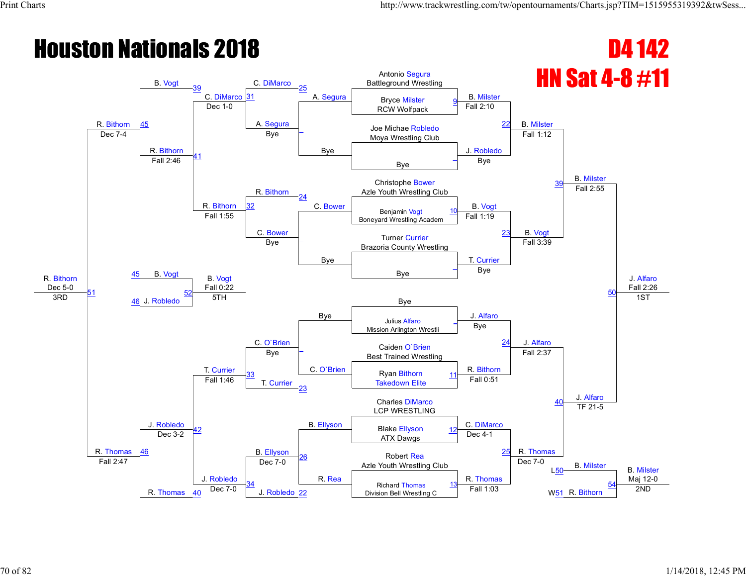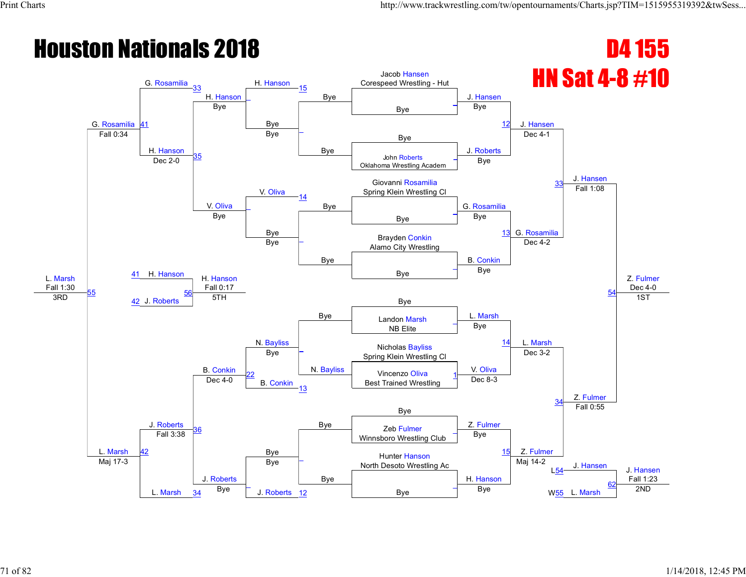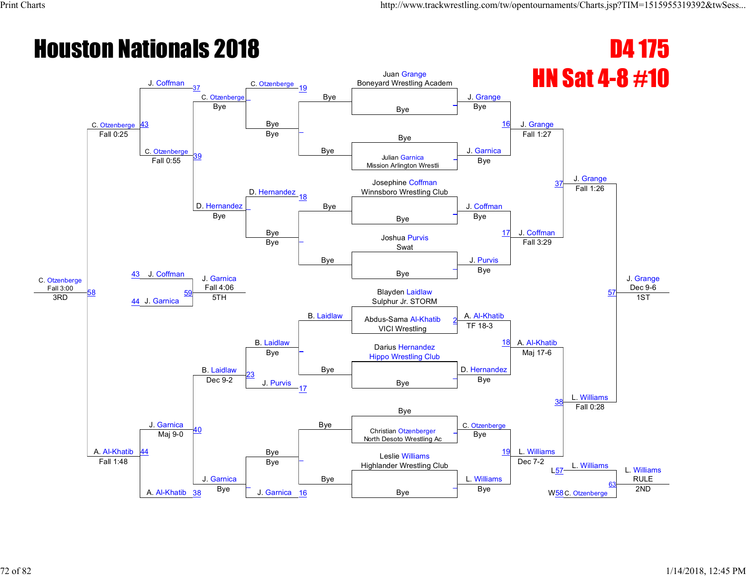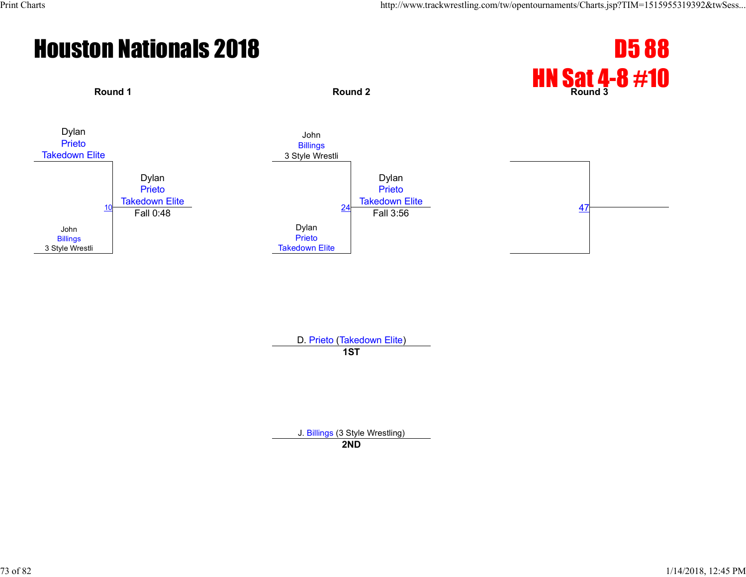

D. Prieto (Takedown Elite) **1ST**

J. Billings (3 Style Wrestling)

**2ND**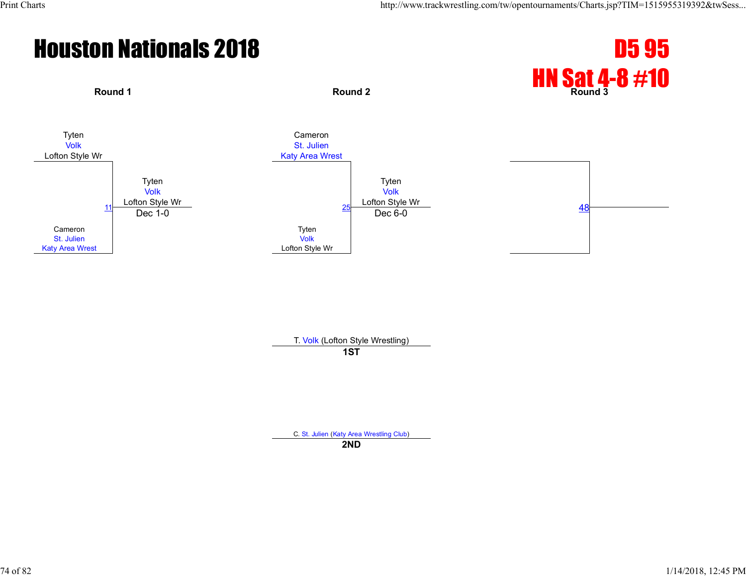

T. Volk (Lofton Style Wrestling) **1ST**

C. St. Julien (Katy Area Wrestling Club)

**2ND**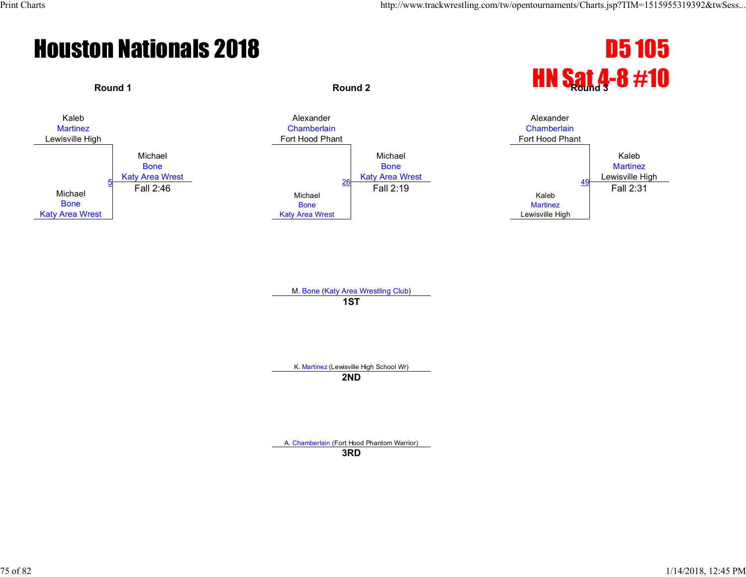



M. Bone (Katy Area Wrestling Club) **1ST**

K. Martinez (Lewisville High School Wr)

**2ND**

A. Chamberlain (Fort Hood Phantom Warrior)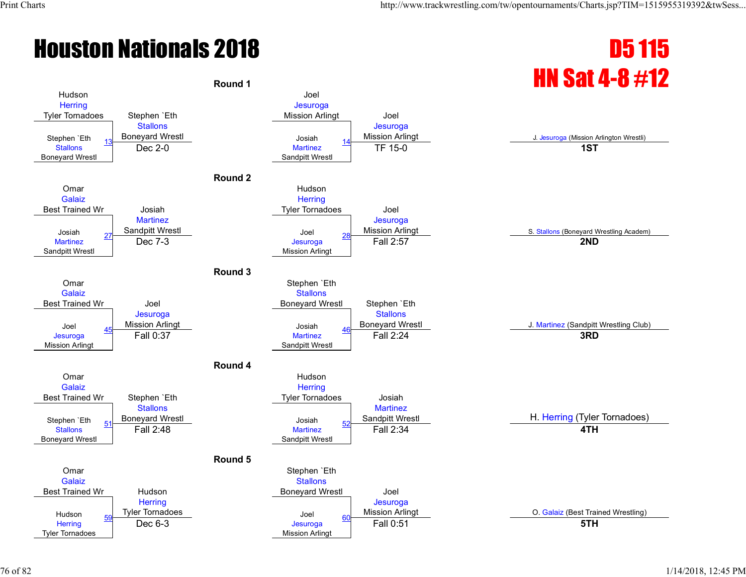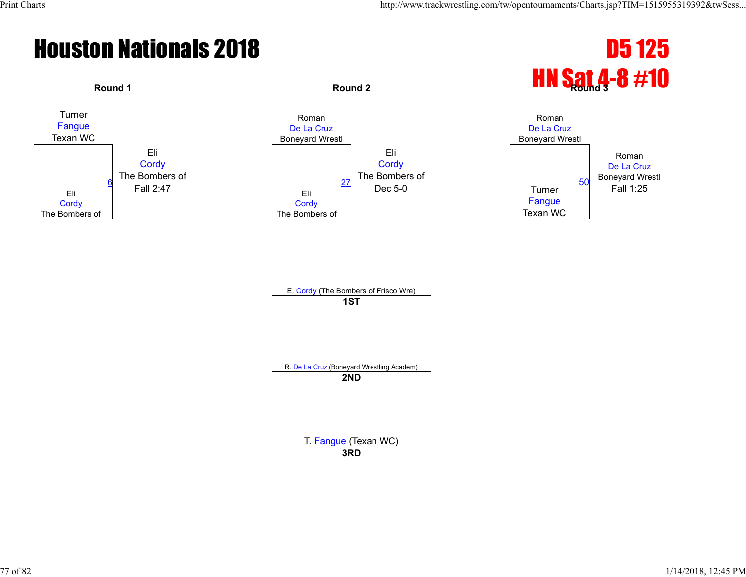



E. Cordy (The Bombers of Frisco Wre) **1ST**

R. De La Cruz (Boneyard Wrestling Academ) **2ND**

> T. Fangue (Texan WC) **3RD**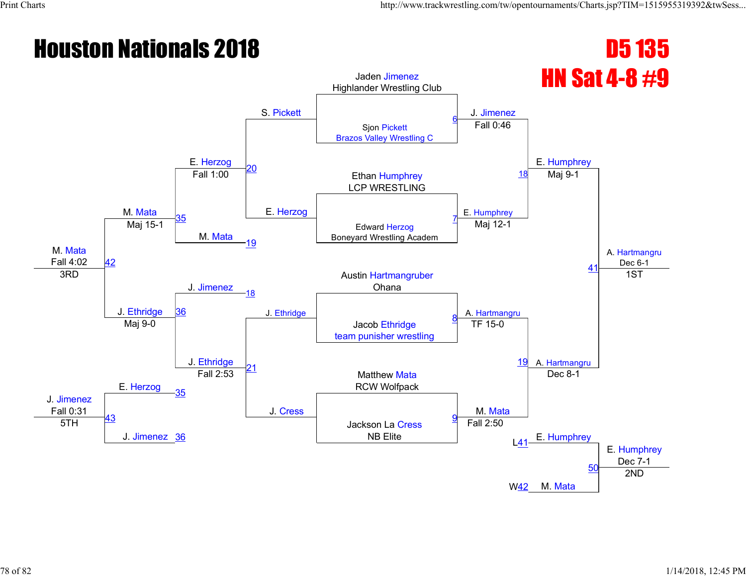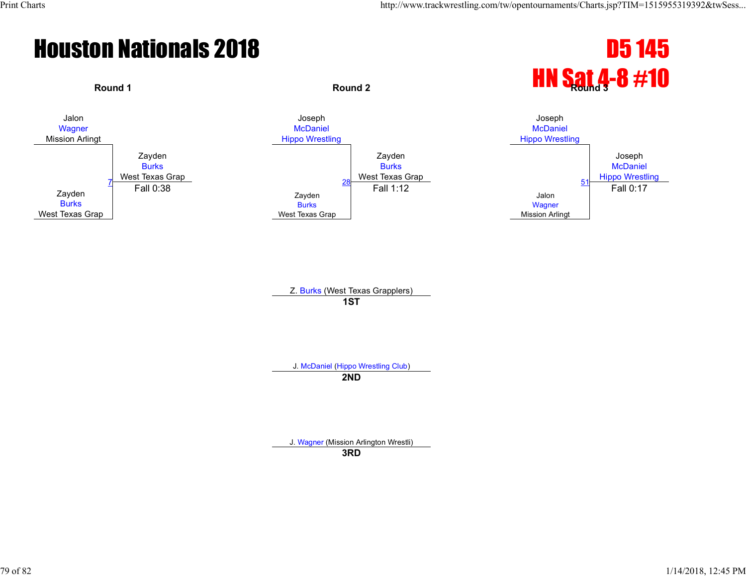



Z. Burks (West Texas Grapplers) **1ST**

J. McDaniel (Hippo Wrestling Club)

**2ND**

J. Wagner (Mission Arlington Wrestli)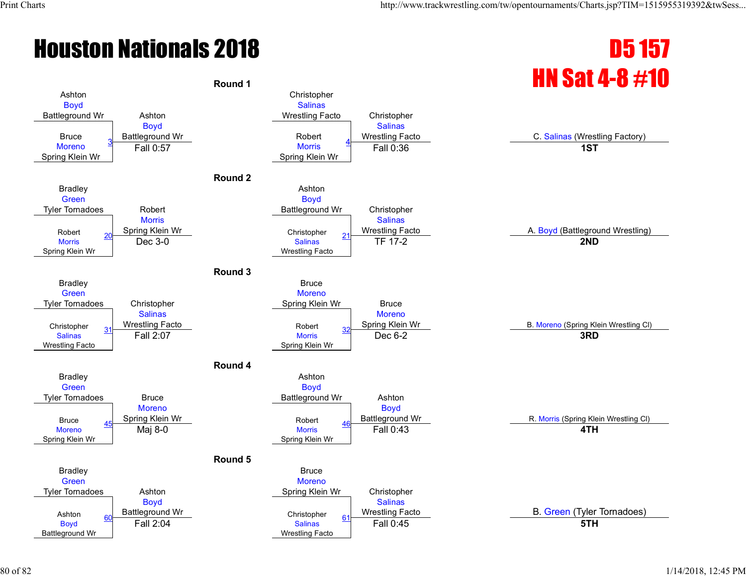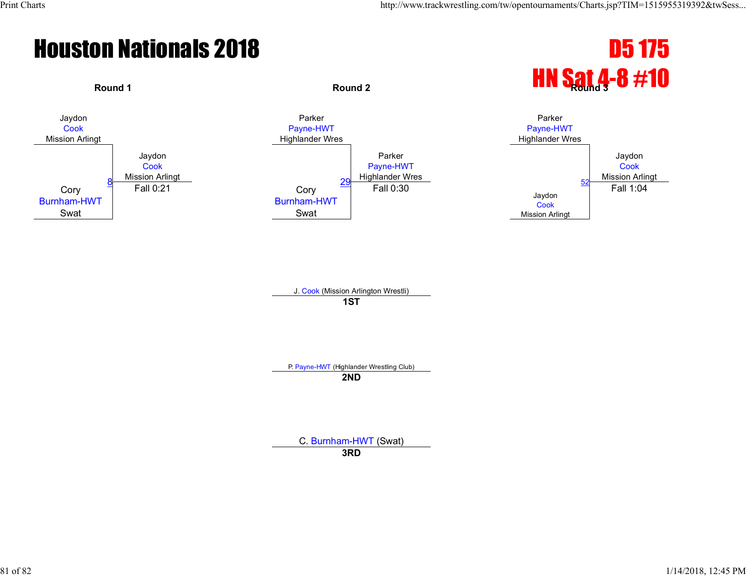

J. Cook (Mission Arlington Wrestli) **1ST**

P. Payne-HWT (Highlander Wrestling Club)

**2ND**

C. Burnham-HWT (Swat)